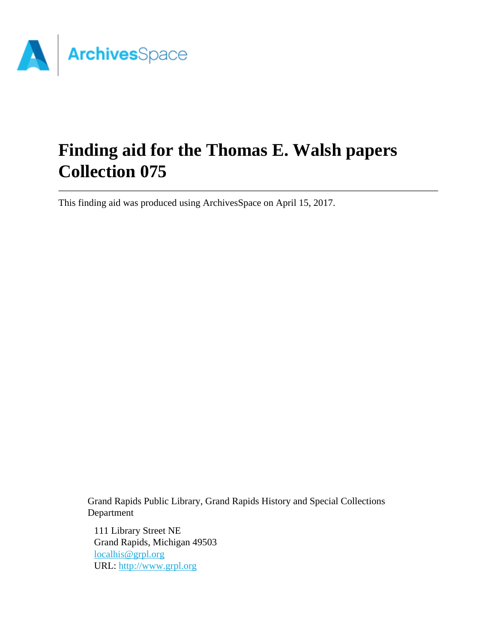

# **Finding aid for the Thomas E. Walsh papers Collection 075**

This finding aid was produced using ArchivesSpace on April 15, 2017.

Grand Rapids Public Library, Grand Rapids History and Special Collections Department

111 Library Street NE Grand Rapids, Michigan 49503 [localhis@grpl.org](mailto:localhis@grpl.org) URL:<http://www.grpl.org>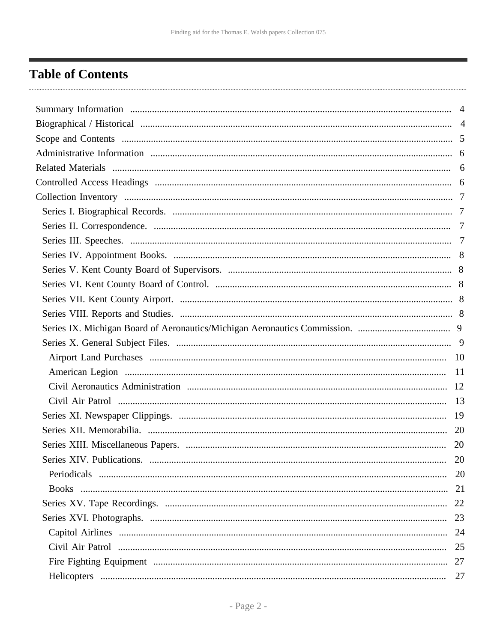## <span id="page-1-0"></span>**Table of Contents**

| -19       |
|-----------|
| -20       |
| <b>20</b> |
|           |
|           |
|           |
|           |
|           |
|           |
|           |
|           |
| 27        |
|           |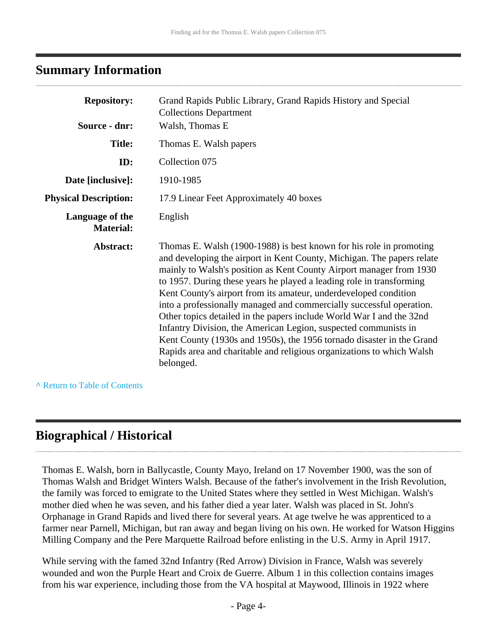### <span id="page-3-0"></span>**Summary Information**

| <b>Repository:</b>                  | Grand Rapids Public Library, Grand Rapids History and Special<br><b>Collections Department</b>                                                                                                                                                                                                                                                                                                                                                                                                                                                                                                                                                                                                                                                     |
|-------------------------------------|----------------------------------------------------------------------------------------------------------------------------------------------------------------------------------------------------------------------------------------------------------------------------------------------------------------------------------------------------------------------------------------------------------------------------------------------------------------------------------------------------------------------------------------------------------------------------------------------------------------------------------------------------------------------------------------------------------------------------------------------------|
| Source - dnr:                       | Walsh, Thomas E                                                                                                                                                                                                                                                                                                                                                                                                                                                                                                                                                                                                                                                                                                                                    |
| <b>Title:</b>                       | Thomas E. Walsh papers                                                                                                                                                                                                                                                                                                                                                                                                                                                                                                                                                                                                                                                                                                                             |
| ID:                                 | Collection 075                                                                                                                                                                                                                                                                                                                                                                                                                                                                                                                                                                                                                                                                                                                                     |
| Date [inclusive]:                   | 1910-1985                                                                                                                                                                                                                                                                                                                                                                                                                                                                                                                                                                                                                                                                                                                                          |
| <b>Physical Description:</b>        | 17.9 Linear Feet Approximately 40 boxes                                                                                                                                                                                                                                                                                                                                                                                                                                                                                                                                                                                                                                                                                                            |
| Language of the<br><b>Material:</b> | English                                                                                                                                                                                                                                                                                                                                                                                                                                                                                                                                                                                                                                                                                                                                            |
| Abstract:                           | Thomas E. Walsh (1900-1988) is best known for his role in promoting<br>and developing the airport in Kent County, Michigan. The papers relate<br>mainly to Walsh's position as Kent County Airport manager from 1930<br>to 1957. During these years he played a leading role in transforming<br>Kent County's airport from its amateur, underdeveloped condition<br>into a professionally managed and commercially successful operation.<br>Other topics detailed in the papers include World War I and the 32nd<br>Infantry Division, the American Legion, suspected communists in<br>Kent County (1930s and 1950s), the 1956 tornado disaster in the Grand<br>Rapids area and charitable and religious organizations to which Walsh<br>belonged. |

**^** [Return to Table of Contents](#page-1-0)

### <span id="page-3-1"></span>**Biographical / Historical**

Thomas E. Walsh, born in Ballycastle, County Mayo, Ireland on 17 November 1900, was the son of Thomas Walsh and Bridget Winters Walsh. Because of the father's involvement in the Irish Revolution, the family was forced to emigrate to the United States where they settled in West Michigan. Walsh's mother died when he was seven, and his father died a year later. Walsh was placed in St. John's Orphanage in Grand Rapids and lived there for several years. At age twelve he was apprenticed to a farmer near Parnell, Michigan, but ran away and began living on his own. He worked for Watson Higgins Milling Company and the Pere Marquette Railroad before enlisting in the U.S. Army in April 1917.

While serving with the famed 32nd Infantry (Red Arrow) Division in France, Walsh was severely wounded and won the Purple Heart and Croix de Guerre. Album 1 in this collection contains images from his war experience, including those from the VA hospital at Maywood, Illinois in 1922 where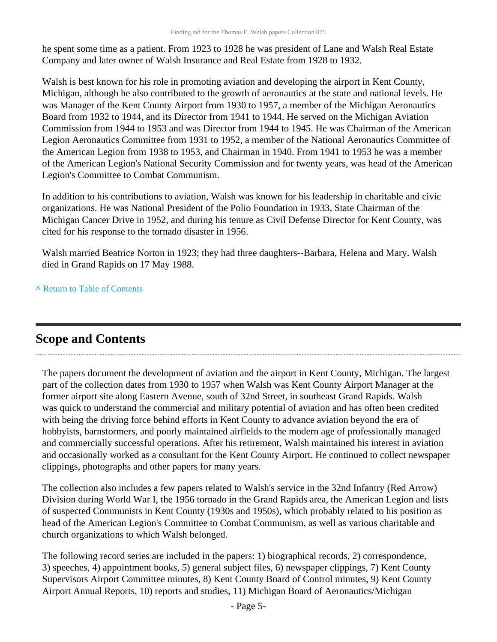he spent some time as a patient. From 1923 to 1928 he was president of Lane and Walsh Real Estate Company and later owner of Walsh Insurance and Real Estate from 1928 to 1932.

Walsh is best known for his role in promoting aviation and developing the airport in Kent County, Michigan, although he also contributed to the growth of aeronautics at the state and national levels. He was Manager of the Kent County Airport from 1930 to 1957, a member of the Michigan Aeronautics Board from 1932 to 1944, and its Director from 1941 to 1944. He served on the Michigan Aviation Commission from 1944 to 1953 and was Director from 1944 to 1945. He was Chairman of the American Legion Aeronautics Committee from 1931 to 1952, a member of the National Aeronautics Committee of the American Legion from 1938 to 1953, and Chairman in 1940. From 1941 to 1953 he was a member of the American Legion's National Security Commission and for twenty years, was head of the American Legion's Committee to Combat Communism.

In addition to his contributions to aviation, Walsh was known for his leadership in charitable and civic organizations. He was National President of the Polio Foundation in 1933, State Chairman of the Michigan Cancer Drive in 1952, and during his tenure as Civil Defense Director for Kent County, was cited for his response to the tornado disaster in 1956.

Walsh married Beatrice Norton in 1923; they had three daughters--Barbara, Helena and Mary. Walsh died in Grand Rapids on 17 May 1988.

**^** [Return to Table of Contents](#page-1-0)

## <span id="page-4-0"></span>**Scope and Contents**

The papers document the development of aviation and the airport in Kent County, Michigan. The largest part of the collection dates from 1930 to 1957 when Walsh was Kent County Airport Manager at the former airport site along Eastern Avenue, south of 32nd Street, in southeast Grand Rapids. Walsh was quick to understand the commercial and military potential of aviation and has often been credited with being the driving force behind efforts in Kent County to advance aviation beyond the era of hobbyists, barnstormers, and poorly maintained airfields to the modern age of professionally managed and commercially successful operations. After his retirement, Walsh maintained his interest in aviation and occasionally worked as a consultant for the Kent County Airport. He continued to collect newspaper clippings, photographs and other papers for many years.

The collection also includes a few papers related to Walsh's service in the 32nd Infantry (Red Arrow) Division during World War I, the 1956 tornado in the Grand Rapids area, the American Legion and lists of suspected Communists in Kent County (1930s and 1950s), which probably related to his position as head of the American Legion's Committee to Combat Communism, as well as various charitable and church organizations to which Walsh belonged.

The following record series are included in the papers: 1) biographical records, 2) correspondence, 3) speeches, 4) appointment books, 5) general subject files, 6) newspaper clippings, 7) Kent County Supervisors Airport Committee minutes, 8) Kent County Board of Control minutes, 9) Kent County Airport Annual Reports, 10) reports and studies, 11) Michigan Board of Aeronautics/Michigan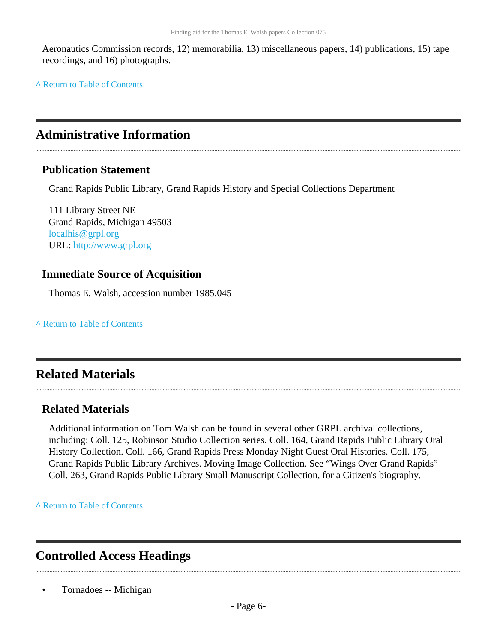Aeronautics Commission records, 12) memorabilia, 13) miscellaneous papers, 14) publications, 15) tape recordings, and 16) photographs.

**^** [Return to Table of Contents](#page-1-0)

## <span id="page-5-0"></span>**Administrative Information**

### **Publication Statement**

Grand Rapids Public Library, Grand Rapids History and Special Collections Department

111 Library Street NE Grand Rapids, Michigan 49503 [localhis@grpl.org](mailto:localhis@grpl.org) URL:<http://www.grpl.org>

### **Immediate Source of Acquisition**

Thomas E. Walsh, accession number 1985.045

**^** [Return to Table of Contents](#page-1-0)

## <span id="page-5-1"></span>**Related Materials**

### **Related Materials**

Additional information on Tom Walsh can be found in several other GRPL archival collections, including: Coll. 125, Robinson Studio Collection series. Coll. 164, Grand Rapids Public Library Oral History Collection. Coll. 166, Grand Rapids Press Monday Night Guest Oral Histories. Coll. 175, Grand Rapids Public Library Archives. Moving Image Collection. See "Wings Over Grand Rapids" Coll. 263, Grand Rapids Public Library Small Manuscript Collection, for a Citizen's biography.

**^** [Return to Table of Contents](#page-1-0)

## <span id="page-5-2"></span>**Controlled Access Headings**

• Tornadoes -- Michigan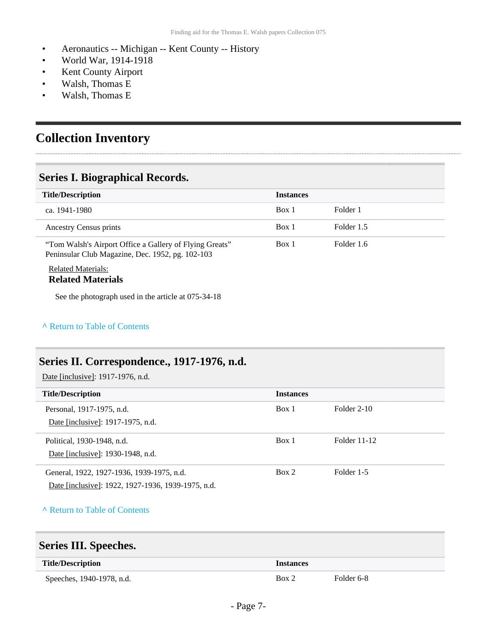- Aeronautics -- Michigan -- Kent County -- History
- World War, 1914-1918
- Kent County Airport
- Walsh, Thomas E
- Walsh, Thomas E

## <span id="page-6-0"></span>**Collection Inventory**

### <span id="page-6-1"></span>**Series I. Biographical Records.**

| <b>Title/Description</b>                                                                                    | <b>Instances</b> |            |
|-------------------------------------------------------------------------------------------------------------|------------------|------------|
| ca. 1941-1980                                                                                               | Box 1            | Folder 1   |
| Ancestry Census prints                                                                                      | Box 1            | Folder 1.5 |
| "Tom Walsh's Airport Office a Gallery of Flying Greats"<br>Peninsular Club Magazine, Dec. 1952, pg. 102-103 | Box 1            | Folder 1.6 |

#### Related Materials: **Related Materials**

See the photograph used in the article at 075-34-18

#### **^** [Return to Table of Contents](#page-1-0)

### <span id="page-6-2"></span>**Series II. Correspondence., 1917-1976, n.d.**

Date [inclusive]: 1917-1976, n.d.

| <b>Title/Description</b>                           | <b>Instances</b> |              |
|----------------------------------------------------|------------------|--------------|
| Personal, 1917-1975, n.d.                          | Box 1            | Folder 2-10  |
| Date [inclusive]: 1917-1975, n.d.                  |                  |              |
| Political, 1930-1948, n.d.                         | Box 1            | Folder 11-12 |
| Date [inclusive]: 1930-1948, n.d.                  |                  |              |
| General, 1922, 1927-1936, 1939-1975, n.d.          | Box 2            | Folder 1-5   |
| Date [inclusive]: 1922, 1927-1936, 1939-1975, n.d. |                  |              |
|                                                    |                  |              |

#### **^** [Return to Table of Contents](#page-1-0)

### <span id="page-6-3"></span>**Series III. Speeches.**

| <b>Title/Description</b>  | <i>Instances</i> |            |
|---------------------------|------------------|------------|
| Speeches, 1940-1978, n.d. | Box 2            | Folder 6-8 |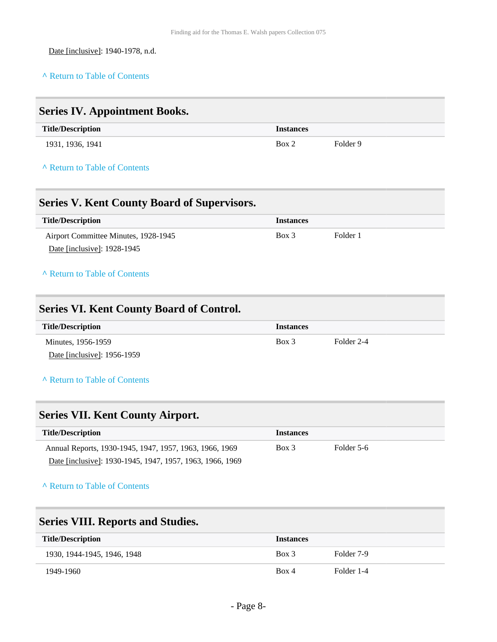Date [inclusive]: 1940-1978, n.d.

#### **^** [Return to Table of Contents](#page-1-0)

# <span id="page-7-1"></span><span id="page-7-0"></span>**Series IV. Appointment Books. Title/Description Instances** 1931, 1936, 1941 **Box 2** Folder 9 **^** [Return to Table of Contents](#page-1-0) **Series V. Kent County Board of Supervisors. Title/Description Instances** Airport Committee Minutes, 1928-1945 Date [inclusive]: 1928-1945 Box 3 Folder 1 **^** [Return to Table of Contents](#page-1-0) **Series VI. Kent County Board of Control. Title/Description Instances** Minutes, 1956-1959 Date [inclusive]: 1956-1959 Box 3 Folder 2-4 **^** [Return to Table of Contents](#page-1-0) **Series VII. Kent County Airport. Title/Description Instances** Annual Reports, 1930-1945, 1947, 1957, 1963, 1966, 1969 Box 3 Folder 5-6

#### **^** [Return to Table of Contents](#page-1-0)

<span id="page-7-3"></span><span id="page-7-2"></span>Date [inclusive]: 1930-1945, 1947, 1957, 1963, 1966, 1969

<span id="page-7-4"></span>

| <b>Series VIII. Reports and Studies.</b> |                  |            |
|------------------------------------------|------------------|------------|
| <b>Title/Description</b>                 | <b>Instances</b> |            |
| 1930, 1944-1945, 1946, 1948              | $Box$ 3          | Folder 7-9 |
| 1949-1960                                | Box 4            | Folder 1-4 |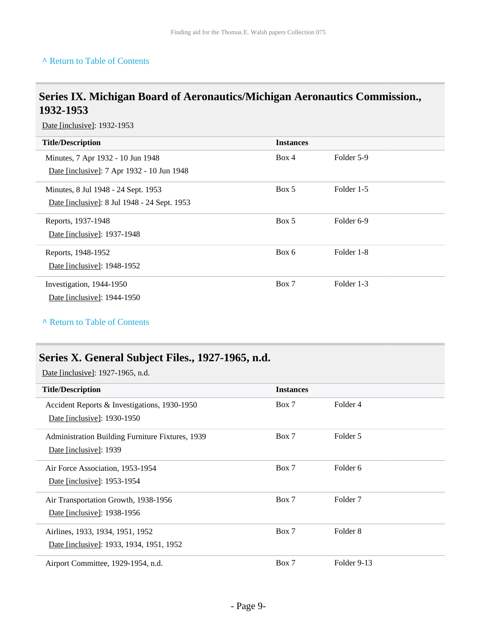#### **^** [Return to Table of Contents](#page-1-0)

### <span id="page-8-0"></span>**Series IX. Michigan Board of Aeronautics/Michigan Aeronautics Commission., 1932-1953**

Date [inclusive]: 1932-1953

| <b>Title/Description</b>                     | <b>Instances</b> |                       |
|----------------------------------------------|------------------|-----------------------|
| Minutes, 7 Apr 1932 - 10 Jun 1948            | Box 4            | Folder 5-9            |
| Date [inclusive]: 7 Apr 1932 - 10 Jun 1948   |                  |                       |
| Minutes, 8 Jul 1948 - 24 Sept. 1953          | Box 5            | Folder 1-5            |
| Date [inclusive]: 8 Jul 1948 - 24 Sept. 1953 |                  |                       |
| Reports, 1937-1948                           | Box 5            | Folder <sub>6-9</sub> |
| Date [inclusive]: 1937-1948                  |                  |                       |
| Reports, 1948-1952                           | Box 6            | Folder 1-8            |
| Date [inclusive]: 1948-1952                  |                  |                       |
| Investigation, 1944-1950                     | Box 7            | Folder 1-3            |
| Date [inclusive]: 1944-1950                  |                  |                       |

#### **^** [Return to Table of Contents](#page-1-0)

### <span id="page-8-1"></span>**Series X. General Subject Files., 1927-1965, n.d.**

Date [inclusive]: 1927-1965, n.d.

| <b>Title/Description</b>                         | <b>Instances</b> |                     |
|--------------------------------------------------|------------------|---------------------|
| Accident Reports & Investigations, 1930-1950     | Box 7            | Folder 4            |
| Date [inclusive]: 1930-1950                      |                  |                     |
| Administration Building Furniture Fixtures, 1939 | Box 7            | Folder 5            |
| Date [inclusive]: 1939                           |                  |                     |
| Air Force Association, 1953-1954                 | Box 7            | Folder 6            |
| Date [inclusive]: 1953-1954                      |                  |                     |
| Air Transportation Growth, 1938-1956             | Box 7            | Folder <sub>7</sub> |
| Date [inclusive]: 1938-1956                      |                  |                     |
| Airlines, 1933, 1934, 1951, 1952                 | Box 7            | Folder 8            |
| Date [inclusive]: 1933, 1934, 1951, 1952         |                  |                     |
| Airport Committee, 1929-1954, n.d.               | Box 7            | Folder 9-13         |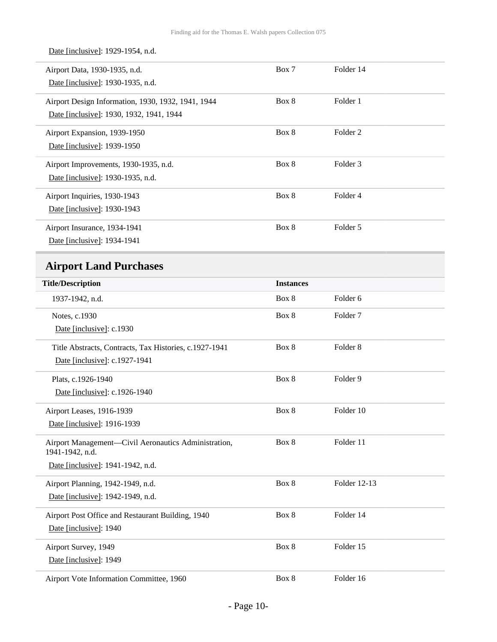Date [inclusive]: 1929-1954, n.d.

<span id="page-9-0"></span>

| Airport Data, 1930-1935, n.d.<br>Date [inclusive]: 1930-1935, n.d.                             | Box 7            | Folder 14           |  |
|------------------------------------------------------------------------------------------------|------------------|---------------------|--|
| Airport Design Information, 1930, 1932, 1941, 1944<br>Date [inclusive]: 1930, 1932, 1941, 1944 | Box 8            | Folder 1            |  |
| Airport Expansion, 1939-1950<br>Date [inclusive]: 1939-1950                                    | Box 8            | Folder <sub>2</sub> |  |
| Airport Improvements, 1930-1935, n.d.                                                          | Box 8            | Folder 3            |  |
| Date [inclusive]: 1930-1935, n.d.                                                              |                  |                     |  |
| Airport Inquiries, 1930-1943                                                                   | Box 8            | Folder 4            |  |
| Date [inclusive]: 1930-1943                                                                    |                  |                     |  |
| Airport Insurance, 1934-1941                                                                   | Box 8            | Folder 5            |  |
| Date [inclusive]: 1934-1941                                                                    |                  |                     |  |
| <b>Airport Land Purchases</b>                                                                  |                  |                     |  |
| <b>Title/Description</b>                                                                       | <b>Instances</b> |                     |  |
| 1937-1942, n.d.                                                                                | Box 8            | Folder 6            |  |
| Notes, c.1930                                                                                  | Box 8            | Folder <sub>7</sub> |  |
| Date [inclusive]: c.1930                                                                       |                  |                     |  |
| Title Abstracts, Contracts, Tax Histories, c.1927-1941                                         | Box 8            | Folder <sub>8</sub> |  |
| Date [inclusive]: c.1927-1941                                                                  |                  |                     |  |
| Plats, c.1926-1940                                                                             | Box 8            | Folder 9            |  |
| Date [inclusive]: c.1926-1940                                                                  |                  |                     |  |
| Airport Leases, 1916-1939                                                                      | Box 8            | Folder 10           |  |
| Date [inclusive]: 1916-1939                                                                    |                  |                     |  |
| Airport Management-Civil Aeronautics Administration,<br>1941-1942, n.d.                        | Box 8            | Folder 11           |  |
| Date [inclusive]: 1941-1942, n.d.                                                              |                  |                     |  |
| Airport Planning, 1942-1949, n.d.                                                              | Box 8            | Folder 12-13        |  |
| Date [inclusive]: 1942-1949, n.d.                                                              |                  |                     |  |
| Airport Post Office and Restaurant Building, 1940                                              | Box 8            | Folder 14           |  |
| Date [inclusive]: 1940                                                                         |                  |                     |  |
| Airport Survey, 1949                                                                           | Box 8            | Folder 15           |  |
| Date [inclusive]: 1949                                                                         |                  |                     |  |
| Airport Vote Information Committee, 1960                                                       | Box 8            | Folder 16           |  |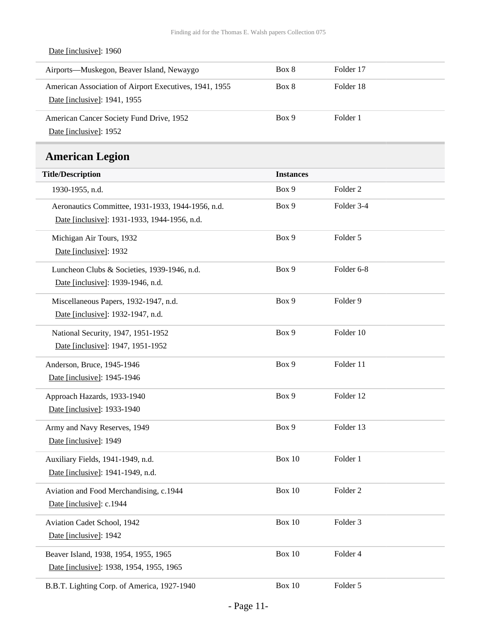### Date [inclusive]: 1960

| Airports—Muskegon, Beaver Island, Newaygo                                              | Box 8 | Folder 17 |
|----------------------------------------------------------------------------------------|-------|-----------|
| American Association of Airport Executives, 1941, 1955<br>Date [inclusive]: 1941, 1955 | Box 8 | Folder 18 |
| American Cancer Society Fund Drive, 1952<br>Date [inclusive]: 1952                     | Box 9 | Folder 1  |

### **American Legion**

<span id="page-10-0"></span>

| EMIVERWAL DV <sub>N</sub> IVIL                    |                  |                     |
|---------------------------------------------------|------------------|---------------------|
| <b>Title/Description</b>                          | <b>Instances</b> |                     |
| 1930-1955, n.d.                                   | Box 9            | Folder <sub>2</sub> |
| Aeronautics Committee, 1931-1933, 1944-1956, n.d. | Box 9            | Folder 3-4          |
| Date [inclusive]: 1931-1933, 1944-1956, n.d.      |                  |                     |
| Michigan Air Tours, 1932                          | Box 9            | Folder 5            |
| Date [inclusive]: 1932                            |                  |                     |
| Luncheon Clubs & Societies, 1939-1946, n.d.       | Box 9            | Folder 6-8          |
| Date [inclusive]: 1939-1946, n.d.                 |                  |                     |
| Miscellaneous Papers, 1932-1947, n.d.             | Box 9            | Folder 9            |
| Date [inclusive]: 1932-1947, n.d.                 |                  |                     |
| National Security, 1947, 1951-1952                | Box 9            | Folder 10           |
| Date [inclusive]: 1947, 1951-1952                 |                  |                     |
| Anderson, Bruce, 1945-1946                        | Box 9            | Folder 11           |
| Date [inclusive]: 1945-1946                       |                  |                     |
| Approach Hazards, 1933-1940                       | Box 9            | Folder 12           |
| Date [inclusive]: 1933-1940                       |                  |                     |
| Army and Navy Reserves, 1949                      | Box 9            | Folder 13           |
| Date [inclusive]: 1949                            |                  |                     |
| Auxiliary Fields, 1941-1949, n.d.                 | <b>Box 10</b>    | Folder 1            |
| Date [inclusive]: 1941-1949, n.d.                 |                  |                     |
| Aviation and Food Merchandising, c.1944           | <b>Box 10</b>    | Folder <sub>2</sub> |
| Date [inclusive]: c.1944                          |                  |                     |
| Aviation Cadet School, 1942                       | <b>Box 10</b>    | Folder 3            |
| Date [inclusive]: 1942                            |                  |                     |
| Beaver Island, 1938, 1954, 1955, 1965             | <b>Box 10</b>    | Folder 4            |
| Date [inclusive]: 1938, 1954, 1955, 1965          |                  |                     |
| B.B.T. Lighting Corp. of America, 1927-1940       | <b>Box 10</b>    | Folder 5            |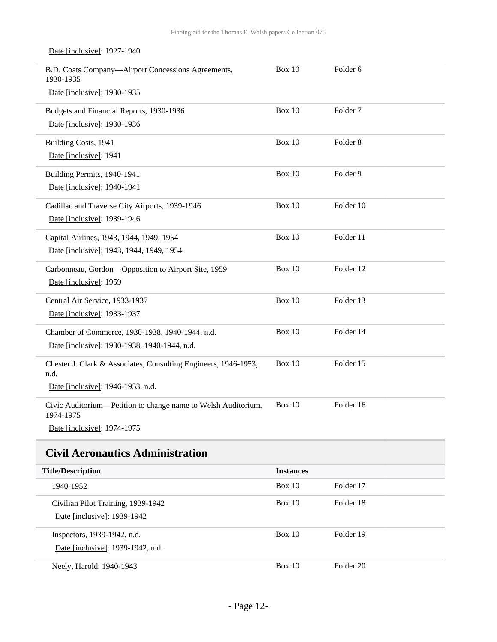| B.D. Coats Company-Airport Concessions Agreements,<br>1930-1935            | <b>Box 10</b> | Folder <sub>6</sub> |
|----------------------------------------------------------------------------|---------------|---------------------|
| Date [inclusive]: 1930-1935                                                |               |                     |
| Budgets and Financial Reports, 1930-1936                                   | <b>Box 10</b> | Folder <sub>7</sub> |
| Date [inclusive]: 1930-1936                                                |               |                     |
| Building Costs, 1941                                                       | <b>Box 10</b> | Folder <sub>8</sub> |
| Date [inclusive]: 1941                                                     |               |                     |
| Building Permits, 1940-1941                                                | <b>Box 10</b> | Folder 9            |
| Date [inclusive]: 1940-1941                                                |               |                     |
| Cadillac and Traverse City Airports, 1939-1946                             | <b>Box 10</b> | Folder 10           |
| Date [inclusive]: 1939-1946                                                |               |                     |
| Capital Airlines, 1943, 1944, 1949, 1954                                   | <b>Box 10</b> | Folder 11           |
| Date [inclusive]: 1943, 1944, 1949, 1954                                   |               |                     |
| Carbonneau, Gordon-Opposition to Airport Site, 1959                        | <b>Box 10</b> | Folder 12           |
| Date [inclusive]: 1959                                                     |               |                     |
| Central Air Service, 1933-1937                                             | <b>Box 10</b> | Folder 13           |
| Date [inclusive]: 1933-1937                                                |               |                     |
| Chamber of Commerce, 1930-1938, 1940-1944, n.d.                            | <b>Box 10</b> | Folder 14           |
| Date [inclusive]: 1930-1938, 1940-1944, n.d.                               |               |                     |
| Chester J. Clark & Associates, Consulting Engineers, 1946-1953,<br>n.d.    | <b>Box 10</b> | Folder 15           |
| Date [inclusive]: 1946-1953, n.d.                                          |               |                     |
| Civic Auditorium—Petition to change name to Welsh Auditorium,<br>1974-1975 | <b>Box 10</b> | Folder 16           |
| Date [inclusive]: 1974-1975                                                |               |                     |

#### Date [inclusive]: 1927-1940

## <span id="page-11-0"></span>**Civil Aeronautics Administration**

| <b>Title/Description</b>                                          | <b>Instances</b> |           |
|-------------------------------------------------------------------|------------------|-----------|
| 1940-1952                                                         | Box 10           | Folder 17 |
| Civilian Pilot Training, 1939-1942<br>Date [inclusive]: 1939-1942 | Box 10           | Folder 18 |
| Inspectors, 1939-1942, n.d.<br>Date [inclusive]: 1939-1942, n.d.  | Box 10           | Folder 19 |
| Neely, Harold, 1940-1943                                          | Box 10           | Folder 20 |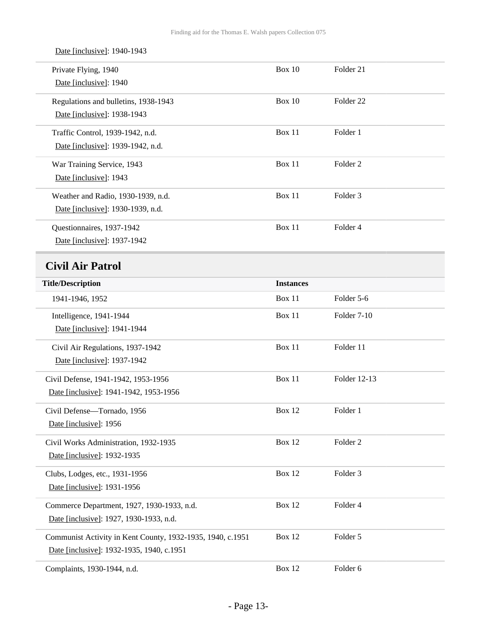<span id="page-12-0"></span>

| Date [inclusive]: 1940-1943                                |                  |                      |
|------------------------------------------------------------|------------------|----------------------|
| Private Flying, 1940<br>Date [inclusive]: 1940             | <b>Box 10</b>    | Folder 21            |
|                                                            |                  |                      |
| Regulations and bulletins, 1938-1943                       | <b>Box 10</b>    | Folder <sub>22</sub> |
| Date [inclusive]: 1938-1943                                |                  |                      |
| Traffic Control, 1939-1942, n.d.                           | <b>Box 11</b>    | Folder 1             |
| Date [inclusive]: 1939-1942, n.d.                          |                  |                      |
| War Training Service, 1943                                 | Box 11           | Folder <sub>2</sub>  |
| Date [inclusive]: 1943                                     |                  |                      |
| Weather and Radio, 1930-1939, n.d.                         | <b>Box 11</b>    | Folder 3             |
| Date [inclusive]: 1930-1939, n.d.                          |                  |                      |
| Questionnaires, 1937-1942                                  | Box 11           | Folder 4             |
| Date [inclusive]: 1937-1942                                |                  |                      |
| <b>Civil Air Patrol</b>                                    |                  |                      |
| <b>Title/Description</b>                                   | <b>Instances</b> |                      |
| 1941-1946, 1952                                            | <b>Box 11</b>    | Folder 5-6           |
| Intelligence, 1941-1944                                    | Box 11           | Folder 7-10          |
| Date [inclusive]: 1941-1944                                |                  |                      |
| Civil Air Regulations, 1937-1942                           | Box 11           | Folder 11            |
| Date [inclusive]: 1937-1942                                |                  |                      |
| Civil Defense, 1941-1942, 1953-1956                        | <b>Box 11</b>    | Folder 12-13         |
| Date [inclusive]: 1941-1942, 1953-1956                     |                  |                      |
| Civil Defense-Tornado, 1956                                | <b>Box 12</b>    | Folder 1             |
| Date [inclusive]: 1956                                     |                  |                      |
| Civil Works Administration, 1932-1935                      | <b>Box 12</b>    | Folder <sub>2</sub>  |
| Date [inclusive]: 1932-1935                                |                  |                      |
| Clubs, Lodges, etc., 1931-1956                             | <b>Box 12</b>    | Folder 3             |
| Date [inclusive]: 1931-1956                                |                  |                      |
| Commerce Department, 1927, 1930-1933, n.d.                 | <b>Box 12</b>    | Folder 4             |
| Date [inclusive]: 1927, 1930-1933, n.d.                    |                  |                      |
| Communist Activity in Kent County, 1932-1935, 1940, c.1951 | <b>Box 12</b>    | Folder 5             |
| Date [inclusive]: 1932-1935, 1940, c.1951                  |                  |                      |
| Complaints, 1930-1944, n.d.                                | <b>Box 12</b>    | Folder 6             |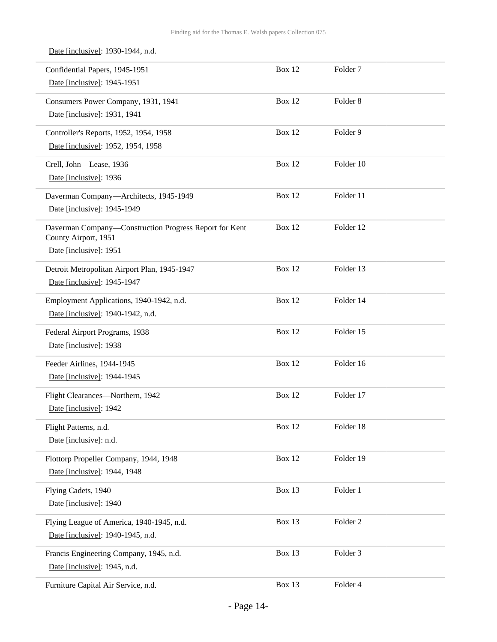Date [inclusive]: 1930-1944, n.d.

| Confidential Papers, 1945-1951<br>Date [inclusive]: 1945-1951                                            | Box 12        | Folder <sub>7</sub> |
|----------------------------------------------------------------------------------------------------------|---------------|---------------------|
| Consumers Power Company, 1931, 1941<br>Date [inclusive]: 1931, 1941                                      | <b>Box 12</b> | Folder <sub>8</sub> |
| Controller's Reports, 1952, 1954, 1958<br>Date [inclusive]: 1952, 1954, 1958                             | <b>Box 12</b> | Folder 9            |
| Crell, John-Lease, 1936<br>Date [inclusive]: 1936                                                        | <b>Box 12</b> | Folder 10           |
| Daverman Company-Architects, 1945-1949<br>Date [inclusive]: 1945-1949                                    | Box 12        | Folder 11           |
| Daverman Company-Construction Progress Report for Kent<br>County Airport, 1951<br>Date [inclusive]: 1951 | <b>Box 12</b> | Folder 12           |
| Detroit Metropolitan Airport Plan, 1945-1947<br>Date [inclusive]: 1945-1947                              | <b>Box 12</b> | Folder 13           |
| Employment Applications, 1940-1942, n.d.<br>Date [inclusive]: 1940-1942, n.d.                            | <b>Box 12</b> | Folder 14           |
| Federal Airport Programs, 1938<br>Date [inclusive]: 1938                                                 | <b>Box 12</b> | Folder 15           |
| Feeder Airlines, 1944-1945<br>Date [inclusive]: 1944-1945                                                | <b>Box 12</b> | Folder 16           |
| Flight Clearances-Northern, 1942<br>Date [inclusive]: 1942                                               | <b>Box 12</b> | Folder 17           |
| Flight Patterns, n.d.<br>Date [inclusive]: n.d.                                                          | <b>Box 12</b> | Folder 18           |
| Flottorp Propeller Company, 1944, 1948<br>Date [inclusive]: 1944, 1948                                   | <b>Box 12</b> | Folder 19           |
| Flying Cadets, 1940<br>Date [inclusive]: 1940                                                            | <b>Box 13</b> | Folder 1            |
| Flying League of America, 1940-1945, n.d.<br>Date [inclusive]: 1940-1945, n.d.                           | Box 13        | Folder 2            |
| Francis Engineering Company, 1945, n.d.<br>Date [inclusive]: 1945, n.d.                                  | Box 13        | Folder <sub>3</sub> |
| Furniture Capital Air Service, n.d.                                                                      | Box 13        | Folder 4            |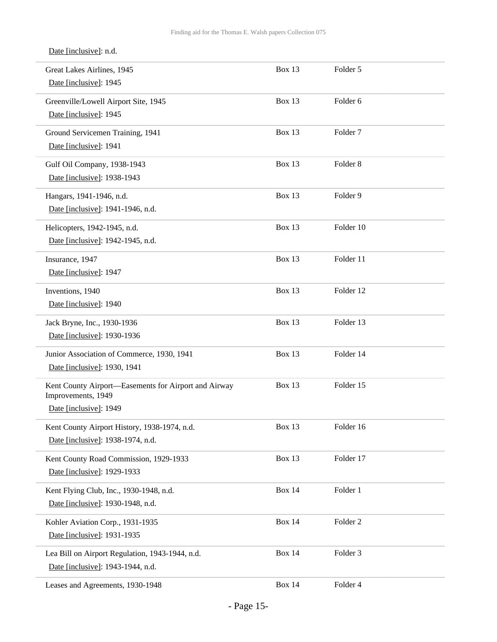Date [inclusive]: n.d.

| Great Lakes Airlines, 1945<br>Date [inclusive]: 1945                                                 | Box 13        | Folder 5            |  |
|------------------------------------------------------------------------------------------------------|---------------|---------------------|--|
| Greenville/Lowell Airport Site, 1945<br>Date [inclusive]: 1945                                       | <b>Box 13</b> | Folder <sub>6</sub> |  |
| Ground Servicemen Training, 1941<br>Date [inclusive]: 1941                                           | <b>Box 13</b> | Folder <sub>7</sub> |  |
| Gulf Oil Company, 1938-1943<br>Date [inclusive]: 1938-1943                                           | <b>Box 13</b> | Folder <sub>8</sub> |  |
| Hangars, 1941-1946, n.d.<br>Date [inclusive]: 1941-1946, n.d.                                        | <b>Box 13</b> | Folder 9            |  |
| Helicopters, 1942-1945, n.d.<br>Date [inclusive]: 1942-1945, n.d.                                    | Box 13        | Folder 10           |  |
| Insurance, 1947<br>Date [inclusive]: 1947                                                            | <b>Box 13</b> | Folder 11           |  |
| Inventions, 1940<br>Date [inclusive]: 1940                                                           | <b>Box 13</b> | Folder 12           |  |
| Jack Bryne, Inc., 1930-1936<br>Date [inclusive]: 1930-1936                                           | <b>Box 13</b> | Folder 13           |  |
| Junior Association of Commerce, 1930, 1941<br>Date [inclusive]: 1930, 1941                           | <b>Box 13</b> | Folder 14           |  |
| Kent County Airport-Easements for Airport and Airway<br>Improvements, 1949<br>Date [inclusive]: 1949 | <b>Box 13</b> | Folder 15           |  |
| Kent County Airport History, 1938-1974, n.d.<br>Date [inclusive]: 1938-1974, n.d.                    | Box 13        | Folder 16           |  |
| Kent County Road Commission, 1929-1933<br>Date [inclusive]: 1929-1933                                | <b>Box 13</b> | Folder 17           |  |
| Kent Flying Club, Inc., 1930-1948, n.d.<br>Date [inclusive]: 1930-1948, n.d.                         | <b>Box 14</b> | Folder 1            |  |
| Kohler Aviation Corp., 1931-1935<br>Date [inclusive]: 1931-1935                                      | <b>Box 14</b> | Folder <sub>2</sub> |  |
| Lea Bill on Airport Regulation, 1943-1944, n.d.<br>Date [inclusive]: 1943-1944, n.d.                 | <b>Box 14</b> | Folder 3            |  |
| Leases and Agreements, 1930-1948                                                                     | <b>Box 14</b> | Folder 4            |  |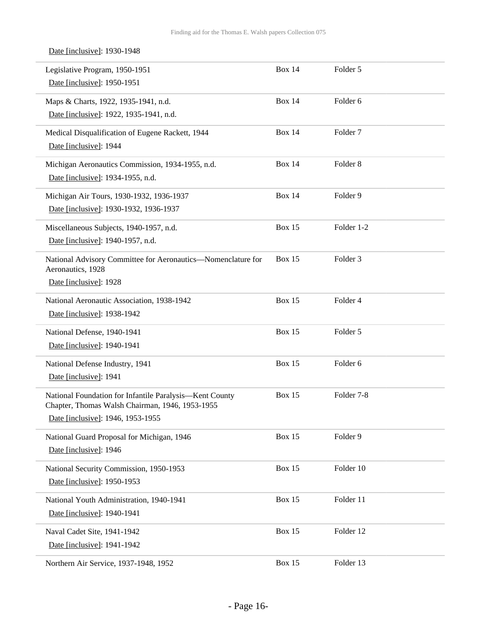| Date [inclusive]: 1930-1948                                                                                                                     |               |                     |
|-------------------------------------------------------------------------------------------------------------------------------------------------|---------------|---------------------|
| Legislative Program, 1950-1951<br>Date [inclusive]: 1950-1951                                                                                   | <b>Box 14</b> | Folder 5            |
| Maps & Charts, 1922, 1935-1941, n.d.<br>Date [inclusive]: 1922, 1935-1941, n.d.                                                                 | <b>Box 14</b> | Folder <sub>6</sub> |
| Medical Disqualification of Eugene Rackett, 1944<br>Date [inclusive]: 1944                                                                      | <b>Box 14</b> | Folder <sub>7</sub> |
| Michigan Aeronautics Commission, 1934-1955, n.d.<br>Date [inclusive]: 1934-1955, n.d.                                                           | <b>Box 14</b> | Folder <sub>8</sub> |
| Michigan Air Tours, 1930-1932, 1936-1937<br>Date [inclusive]: 1930-1932, 1936-1937                                                              | <b>Box 14</b> | Folder 9            |
| Miscellaneous Subjects, 1940-1957, n.d.<br>Date [inclusive]: 1940-1957, n.d.                                                                    | <b>Box 15</b> | Folder 1-2          |
| National Advisory Committee for Aeronautics-Nomenclature for<br>Aeronautics, 1928<br>Date [inclusive]: 1928                                     | <b>Box 15</b> | Folder <sub>3</sub> |
| National Aeronautic Association, 1938-1942<br>Date [inclusive]: 1938-1942                                                                       | <b>Box 15</b> | Folder 4            |
| National Defense, 1940-1941<br>Date [inclusive]: 1940-1941                                                                                      | <b>Box 15</b> | Folder 5            |
| National Defense Industry, 1941<br>Date [inclusive]: 1941                                                                                       | <b>Box 15</b> | Folder 6            |
| National Foundation for Infantile Paralysis-Kent County<br>Chapter, Thomas Walsh Chairman, 1946, 1953-1955<br>Date [inclusive]: 1946, 1953-1955 | <b>Box 15</b> | Folder 7-8          |
| National Guard Proposal for Michigan, 1946<br>Date [inclusive]: 1946                                                                            | <b>Box 15</b> | Folder 9            |
| National Security Commission, 1950-1953<br>Date [inclusive]: 1950-1953                                                                          | <b>Box 15</b> | Folder 10           |
| National Youth Administration, 1940-1941<br>Date [inclusive]: 1940-1941                                                                         | <b>Box 15</b> | Folder 11           |
| Naval Cadet Site, 1941-1942<br>Date [inclusive]: 1941-1942                                                                                      | <b>Box 15</b> | Folder 12           |
| Northern Air Service, 1937-1948, 1952                                                                                                           | <b>Box 15</b> | Folder 13           |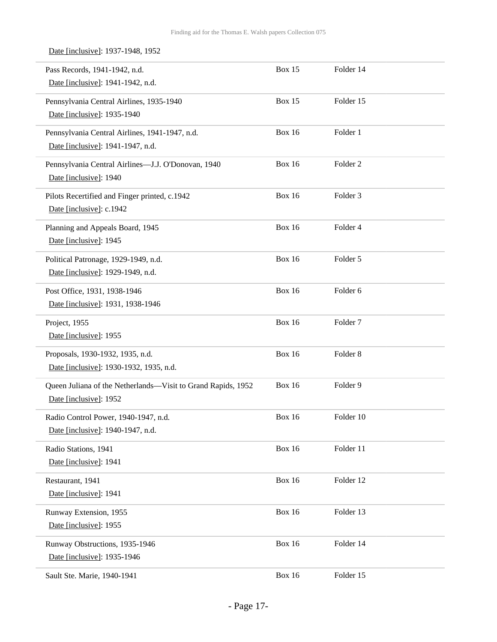Date [inclusive]: 1937-1948, 1952

| Pass Records, 1941-1942, n.d.<br>Date [inclusive]: 1941-1942, n.d.                     | Box 15        | Folder 14           |
|----------------------------------------------------------------------------------------|---------------|---------------------|
| Pennsylvania Central Airlines, 1935-1940<br>Date [inclusive]: 1935-1940                | Box 15        | Folder 15           |
| Pennsylvania Central Airlines, 1941-1947, n.d.<br>Date [inclusive]: 1941-1947, n.d.    | <b>Box 16</b> | Folder 1            |
| Pennsylvania Central Airlines-J.J. O'Donovan, 1940<br>Date [inclusive]: 1940           | <b>Box 16</b> | Folder <sub>2</sub> |
| Pilots Recertified and Finger printed, c.1942<br>Date [inclusive]: c.1942              | <b>Box 16</b> | Folder 3            |
| Planning and Appeals Board, 1945<br>Date [inclusive]: 1945                             | <b>Box 16</b> | Folder 4            |
| Political Patronage, 1929-1949, n.d.<br>Date [inclusive]: 1929-1949, n.d.              | <b>Box 16</b> | Folder 5            |
| Post Office, 1931, 1938-1946<br>Date [inclusive]: 1931, 1938-1946                      | <b>Box 16</b> | Folder 6            |
| Project, 1955<br>Date [inclusive]: 1955                                                | <b>Box 16</b> | Folder <sub>7</sub> |
| Proposals, 1930-1932, 1935, n.d.<br>Date [inclusive]: 1930-1932, 1935, n.d.            | <b>Box 16</b> | Folder <sub>8</sub> |
| Queen Juliana of the Netherlands-Visit to Grand Rapids, 1952<br>Date [inclusive]: 1952 | <b>Box 16</b> | Folder 9            |
| Radio Control Power, 1940-1947, n.d.<br>Date [inclusive]: 1940-1947, n.d.              | <b>Box 16</b> | Folder 10           |
| Radio Stations, 1941<br>Date [inclusive]: 1941                                         | <b>Box 16</b> | Folder 11           |
| Restaurant, 1941<br>Date [inclusive]: 1941                                             | <b>Box 16</b> | Folder 12           |
| Runway Extension, 1955<br>Date [inclusive]: 1955                                       | <b>Box 16</b> | Folder 13           |
| Runway Obstructions, 1935-1946<br>Date [inclusive]: 1935-1946                          | <b>Box 16</b> | Folder 14           |
| Sault Ste. Marie, 1940-1941                                                            | <b>Box 16</b> | Folder 15           |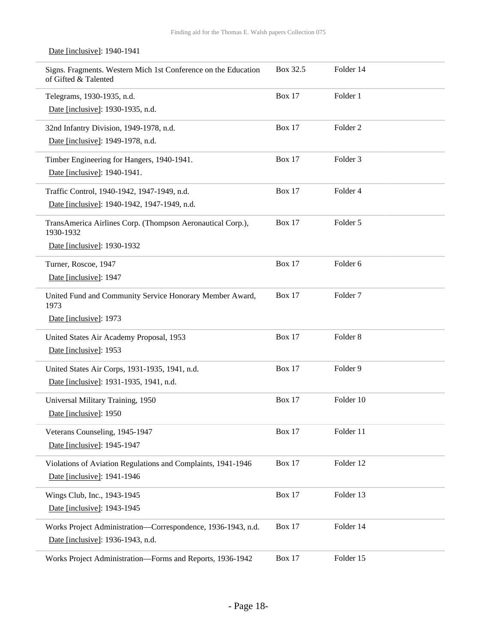| Signs. Fragments. Western Mich 1st Conference on the Education<br>of Gifted & Talented | Box 32.5      | Folder 14           |
|----------------------------------------------------------------------------------------|---------------|---------------------|
| Telegrams, 1930-1935, n.d.                                                             | <b>Box 17</b> | Folder 1            |
| Date [inclusive]: 1930-1935, n.d.                                                      |               |                     |
| 32nd Infantry Division, 1949-1978, n.d.                                                | <b>Box 17</b> | Folder <sub>2</sub> |
| Date [inclusive]: 1949-1978, n.d.                                                      |               |                     |
| Timber Engineering for Hangers, 1940-1941.                                             | <b>Box 17</b> | Folder <sub>3</sub> |
| Date [inclusive]: 1940-1941.                                                           |               |                     |
| Traffic Control, 1940-1942, 1947-1949, n.d.                                            | <b>Box 17</b> | Folder 4            |
| Date [inclusive]: 1940-1942, 1947-1949, n.d.                                           |               |                     |
| TransAmerica Airlines Corp. (Thompson Aeronautical Corp.),<br>1930-1932                | <b>Box 17</b> | Folder 5            |
| Date [inclusive]: 1930-1932                                                            |               |                     |
| Turner, Roscoe, 1947                                                                   | <b>Box 17</b> | Folder <sub>6</sub> |
| Date [inclusive]: 1947                                                                 |               |                     |
| United Fund and Community Service Honorary Member Award,<br>1973                       | Box $17$      | Folder <sub>7</sub> |
| Date [inclusive]: 1973                                                                 |               |                     |
| United States Air Academy Proposal, 1953                                               | <b>Box 17</b> | Folder <sub>8</sub> |
| Date [inclusive]: 1953                                                                 |               |                     |
| United States Air Corps, 1931-1935, 1941, n.d.                                         | <b>Box 17</b> | Folder 9            |
| Date [inclusive]: 1931-1935, 1941, n.d.                                                |               |                     |
| Universal Military Training, 1950                                                      | <b>Box 17</b> | Folder 10           |
| Date [inclusive]: 1950                                                                 |               |                     |
| Veterans Counseling, 1945-1947                                                         | <b>Box 17</b> | Folder 11           |
| Date [inclusive]: 1945-1947                                                            |               |                     |
| Violations of Aviation Regulations and Complaints, 1941-1946                           | <b>Box 17</b> | Folder 12           |
| Date [inclusive]: 1941-1946                                                            |               |                     |
| Wings Club, Inc., 1943-1945                                                            | <b>Box 17</b> | Folder 13           |
| Date [inclusive]: 1943-1945                                                            |               |                     |
| Works Project Administration—Correspondence, 1936-1943, n.d.                           | <b>Box 17</b> | Folder 14           |
| Date [inclusive]: 1936-1943, n.d.                                                      |               |                     |
| Works Project Administration-Forms and Reports, 1936-1942                              | <b>Box 17</b> | Folder 15           |

#### Date [inclusive]: 1940-1941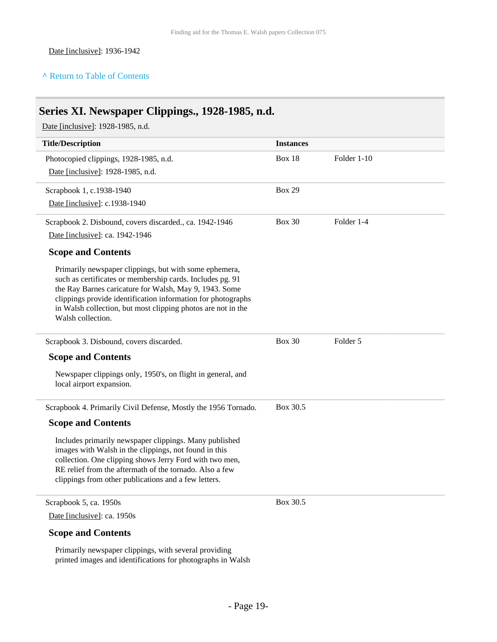#### **^** [Return to Table of Contents](#page-1-0)

## <span id="page-18-0"></span>**Series XI. Newspaper Clippings., 1928-1985, n.d.**

Date [inclusive]: 1928-1985, n.d.

| <b>Title/Description</b>                                                                                                                                                                                                                                                                                                           | <b>Instances</b> |             |
|------------------------------------------------------------------------------------------------------------------------------------------------------------------------------------------------------------------------------------------------------------------------------------------------------------------------------------|------------------|-------------|
| Photocopied clippings, 1928-1985, n.d.<br>Date [inclusive]: 1928-1985, n.d.                                                                                                                                                                                                                                                        | <b>Box 18</b>    | Folder 1-10 |
| Scrapbook 1, c.1938-1940<br>Date [inclusive]: c.1938-1940                                                                                                                                                                                                                                                                          | <b>Box 29</b>    |             |
| Scrapbook 2. Disbound, covers discarded., ca. 1942-1946<br>Date [inclusive]: ca. 1942-1946                                                                                                                                                                                                                                         | <b>Box 30</b>    | Folder 1-4  |
| <b>Scope and Contents</b>                                                                                                                                                                                                                                                                                                          |                  |             |
| Primarily newspaper clippings, but with some ephemera,<br>such as certificates or membership cards. Includes pg. 91<br>the Ray Barnes caricature for Walsh, May 9, 1943. Some<br>clippings provide identification information for photographs<br>in Walsh collection, but most clipping photos are not in the<br>Walsh collection. |                  |             |
| Scrapbook 3. Disbound, covers discarded.                                                                                                                                                                                                                                                                                           | <b>Box 30</b>    | Folder 5    |
| <b>Scope and Contents</b>                                                                                                                                                                                                                                                                                                          |                  |             |
| Newspaper clippings only, 1950's, on flight in general, and<br>local airport expansion.                                                                                                                                                                                                                                            |                  |             |
| Scrapbook 4. Primarily Civil Defense, Mostly the 1956 Tornado.                                                                                                                                                                                                                                                                     | Box 30.5         |             |
| <b>Scope and Contents</b>                                                                                                                                                                                                                                                                                                          |                  |             |
| Includes primarily newspaper clippings. Many published<br>images with Walsh in the clippings, not found in this<br>collection. One clipping shows Jerry Ford with two men,<br>RE relief from the aftermath of the tornado. Also a few<br>clippings from other publications and a few letters.                                      |                  |             |
| Scrapbook 5, ca. 1950s                                                                                                                                                                                                                                                                                                             | Box 30.5         |             |
| Date [inclusive]: ca. 1950s                                                                                                                                                                                                                                                                                                        |                  |             |
| <b>Scope and Contents</b>                                                                                                                                                                                                                                                                                                          |                  |             |
| Primarily newspaper clippings, with several providing                                                                                                                                                                                                                                                                              |                  |             |

printed images and identifications for photographs in Walsh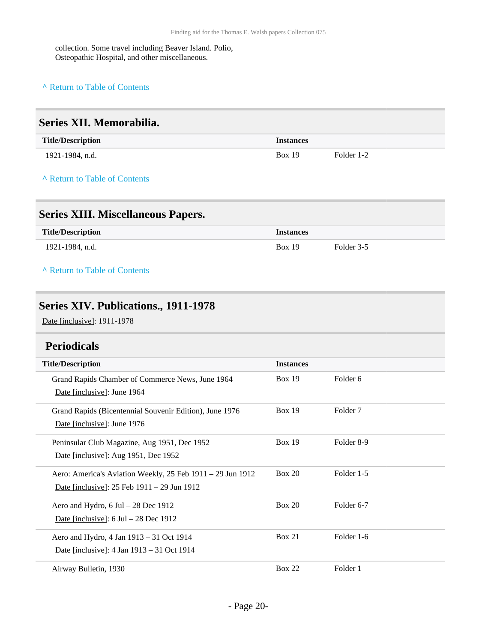collection. Some travel including Beaver Island. Polio, Osteopathic Hospital, and other miscellaneous.

#### **^** [Return to Table of Contents](#page-1-0)

<span id="page-19-3"></span><span id="page-19-2"></span><span id="page-19-1"></span><span id="page-19-0"></span>

| Series XII. Memorabilia.                                                               |                  |                     |
|----------------------------------------------------------------------------------------|------------------|---------------------|
| <b>Title/Description</b>                                                               | <b>Instances</b> |                     |
| 1921-1984, n.d.                                                                        | <b>Box 19</b>    | Folder 1-2          |
| A Return to Table of Contents                                                          |                  |                     |
| <b>Series XIII. Miscellaneous Papers.</b>                                              |                  |                     |
| <b>Title/Description</b>                                                               | <b>Instances</b> |                     |
| 1921-1984, n.d.                                                                        | <b>Box 19</b>    | Folder 3-5          |
| A Return to Table of Contents                                                          |                  |                     |
| Series XIV. Publications., 1911-1978                                                   |                  |                     |
| Date [inclusive]: 1911-1978                                                            |                  |                     |
| <b>Periodicals</b>                                                                     |                  |                     |
| <b>Title/Description</b>                                                               | <b>Instances</b> |                     |
| Grand Rapids Chamber of Commerce News, June 1964<br>Date [inclusive]: June 1964        | <b>Box 19</b>    | Folder 6            |
| Grand Rapids (Bicentennial Souvenir Edition), June 1976<br>Date [inclusive]: June 1976 | <b>Box 19</b>    | Folder <sub>7</sub> |
| Peninsular Club Magazine, Aug 1951, Dec 1952                                           | <b>Box 19</b>    | Folder 8-9          |
| Date [inclusive]: Aug 1951, Dec 1952                                                   |                  |                     |
| Aero: America's Aviation Weekly, 25 Feb 1911 - 29 Jun 1912                             | <b>Box 20</b>    | Folder 1-5          |
| Date [inclusive]: 25 Feb 1911 – 29 Jun 1912                                            |                  |                     |
| Aero and Hydro, 6 Jul - 28 Dec 1912                                                    | <b>Box 20</b>    | Folder 6-7          |
| Date [inclusive]: $6 \text{ Jul} - 28 \text{ Dec } 1912$                               |                  |                     |
| Aero and Hydro, 4 Jan 1913 - 31 Oct 1914                                               | Box 21           | Folder 1-6          |
| Date [inclusive]: 4 Jan 1913 - 31 Oct 1914                                             |                  |                     |
| Airway Bulletin, 1930                                                                  | <b>Box 22</b>    | Folder 1            |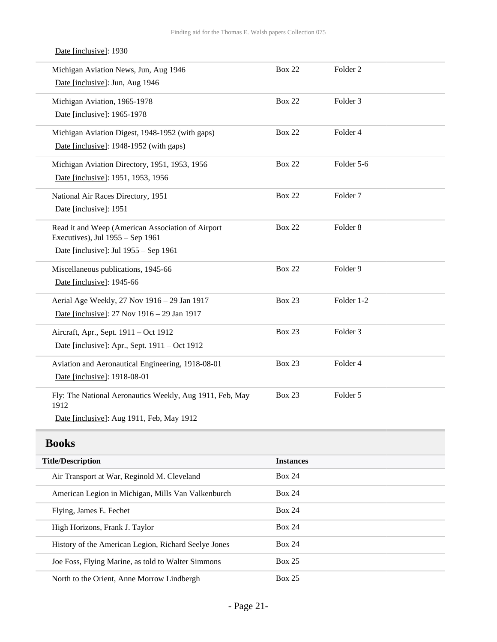| Michigan Aviation News, Jun, Aug 1946                                                 | <b>Box 22</b> | Folder <sub>2</sub> |
|---------------------------------------------------------------------------------------|---------------|---------------------|
| Date [inclusive]: Jun, Aug 1946                                                       |               |                     |
| Michigan Aviation, 1965-1978                                                          | <b>Box 22</b> | Folder <sub>3</sub> |
| Date [inclusive]: 1965-1978                                                           |               |                     |
| Michigan Aviation Digest, 1948-1952 (with gaps)                                       | <b>Box 22</b> | Folder 4            |
| Date [inclusive]: 1948-1952 (with gaps)                                               |               |                     |
| Michigan Aviation Directory, 1951, 1953, 1956                                         | <b>Box 22</b> | Folder 5-6          |
| Date [inclusive]: 1951, 1953, 1956                                                    |               |                     |
| National Air Races Directory, 1951                                                    | <b>Box 22</b> | Folder <sub>7</sub> |
| Date [inclusive]: 1951                                                                |               |                     |
| Read it and Weep (American Association of Airport<br>Executives), Jul 1955 – Sep 1961 | <b>Box 22</b> | Folder 8            |
| Date [inclusive]: Jul 1955 - Sep 1961                                                 |               |                     |
| Miscellaneous publications, 1945-66                                                   | <b>Box 22</b> | Folder 9            |
| Date [inclusive]: 1945-66                                                             |               |                     |
| Aerial Age Weekly, 27 Nov 1916 - 29 Jan 1917                                          | <b>Box 23</b> | Folder 1-2          |
| Date [inclusive]: 27 Nov 1916 – 29 Jan 1917                                           |               |                     |
| Aircraft, Apr., Sept. 1911 - Oct 1912                                                 | <b>Box 23</b> | Folder <sub>3</sub> |
| Date [inclusive]: Apr., Sept. 1911 – Oct 1912                                         |               |                     |
| Aviation and Aeronautical Engineering, 1918-08-01                                     | <b>Box 23</b> | Folder 4            |
| Date [inclusive]: 1918-08-01                                                          |               |                     |
| Fly: The National Aeronautics Weekly, Aug 1911, Feb, May<br>1912                      | <b>Box 23</b> | Folder 5            |
| Date [inclusive]: Aug 1911, Feb, May 1912                                             |               |                     |
| <b>Books</b>                                                                          |               |                     |
|                                                                                       |               |                     |

#### Date [inclusive]: 1930

<span id="page-20-0"></span>

| <b>Title/Description</b>                             | <b>Instances</b> |
|------------------------------------------------------|------------------|
| Air Transport at War, Reginold M. Cleveland          | <b>Box 24</b>    |
| American Legion in Michigan, Mills Van Valkenburch   | Box 24           |
| Flying, James E. Fechet                              | Box 24           |
| High Horizons, Frank J. Taylor                       | <b>Box 24</b>    |
| History of the American Legion, Richard Seelye Jones | <b>Box 24</b>    |
| Joe Foss, Flying Marine, as told to Walter Simmons   | <b>Box 25</b>    |
| North to the Orient, Anne Morrow Lindbergh           | <b>Box 25</b>    |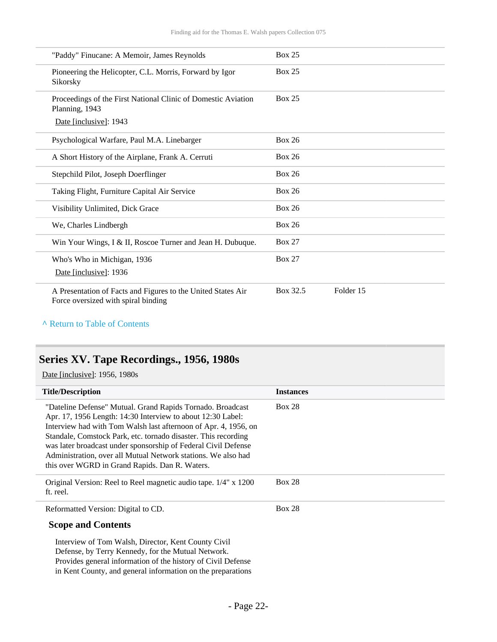| "Paddy" Finucane: A Memoir, James Reynolds                                                          | <b>Box 25</b>         |
|-----------------------------------------------------------------------------------------------------|-----------------------|
| Pioneering the Helicopter, C.L. Morris, Forward by Igor<br>Sikorsky                                 | <b>Box 25</b>         |
| Proceedings of the First National Clinic of Domestic Aviation<br>Planning, 1943                     | <b>Box 25</b>         |
| Date [inclusive]: 1943                                                                              |                       |
| Psychological Warfare, Paul M.A. Linebarger                                                         | <b>Box 26</b>         |
| A Short History of the Airplane, Frank A. Cerruti                                                   | <b>Box 26</b>         |
| Stepchild Pilot, Joseph Doerflinger                                                                 | <b>Box 26</b>         |
| Taking Flight, Furniture Capital Air Service                                                        | <b>Box 26</b>         |
| Visibility Unlimited, Dick Grace                                                                    | <b>Box 26</b>         |
| We, Charles Lindbergh                                                                               | <b>Box 26</b>         |
| Win Your Wings, I & II, Roscoe Turner and Jean H. Dubuque.                                          | <b>Box 27</b>         |
| Who's Who in Michigan, 1936                                                                         | <b>Box 27</b>         |
| Date [inclusive]: 1936                                                                              |                       |
| A Presentation of Facts and Figures to the United States Air<br>Force oversized with spiral binding | Folder 15<br>Box 32.5 |

**^** [Return to Table of Contents](#page-1-0)

## <span id="page-21-0"></span>**Series XV. Tape Recordings., 1956, 1980s**

Date [inclusive]: 1956, 1980s

| <b>Title/Description</b>                                                                                                                                                                                                                                                                                                                                                                                                                            | <b>Instances</b> |
|-----------------------------------------------------------------------------------------------------------------------------------------------------------------------------------------------------------------------------------------------------------------------------------------------------------------------------------------------------------------------------------------------------------------------------------------------------|------------------|
| "Dateline Defense" Mutual. Grand Rapids Tornado. Broadcast<br>Apr. 17, 1956 Length: 14:30 Interview to about 12:30 Label:<br>Interview had with Tom Walsh last afternoon of Apr. 4, 1956, on<br>Standale, Comstock Park, etc. tornado disaster. This recording<br>was later broadcast under sponsorship of Federal Civil Defense<br>Administration, over all Mutual Network stations. We also had<br>this over WGRD in Grand Rapids. Dan R. Waters. | <b>Box 28</b>    |
| Original Version: Reel to Reel magnetic audio tape. 1/4" x 1200<br>ft. reel.                                                                                                                                                                                                                                                                                                                                                                        | <b>Box 28</b>    |
| Reformatted Version: Digital to CD.                                                                                                                                                                                                                                                                                                                                                                                                                 | <b>Box 28</b>    |
| <b>Scope and Contents</b>                                                                                                                                                                                                                                                                                                                                                                                                                           |                  |
| Interview of Tom Walsh, Director, Kent County Civil<br>Defense, by Terry Kennedy, for the Mutual Network.<br>Provides general information of the history of Civil Defense                                                                                                                                                                                                                                                                           |                  |

in Kent County, and general information on the preparations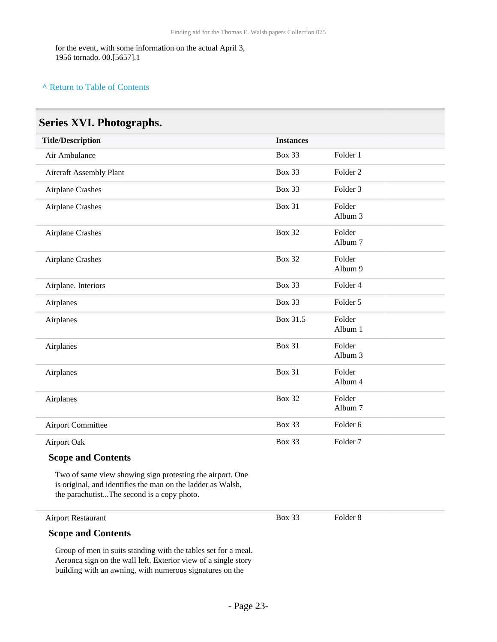for the event, with some information on the actual April 3, 1956 tornado. 00.[5657].1

#### **^** [Return to Table of Contents](#page-1-0)

### <span id="page-22-0"></span>**Series XVI. Photographs.**

| <b>Title/Description</b> | <b>Instances</b> |                     |
|--------------------------|------------------|---------------------|
| Air Ambulance            | <b>Box 33</b>    | Folder 1            |
| Aircraft Assembly Plant  | <b>Box 33</b>    | Folder <sub>2</sub> |
| <b>Airplane Crashes</b>  | <b>Box 33</b>    | Folder <sub>3</sub> |
| Airplane Crashes         | <b>Box 31</b>    | Folder<br>Album 3   |
| Airplane Crashes         | <b>Box 32</b>    | Folder<br>Album 7   |
| <b>Airplane Crashes</b>  | <b>Box 32</b>    | Folder<br>Album 9   |
| Airplane. Interiors      | <b>Box 33</b>    | Folder 4            |
| Airplanes                | <b>Box 33</b>    | Folder 5            |
| Airplanes                | Box 31.5         | Folder<br>Album 1   |
| Airplanes                | <b>Box 31</b>    | Folder<br>Album 3   |
| Airplanes                | <b>Box 31</b>    | Folder<br>Album 4   |
| Airplanes                | <b>Box 32</b>    | Folder<br>Album 7   |
| <b>Airport Committee</b> | <b>Box 33</b>    | Folder <sub>6</sub> |
| Airport Oak              | <b>Box 33</b>    | Folder <sub>7</sub> |

#### **Scope and Contents**

Two of same view showing sign protesting the airport. One is original, and identifies the man on the ladder as Walsh, the parachutist...The second is a copy photo.

#### Airport Restaurant

Box 33 Folder 8

#### **Scope and Contents**

Group of men in suits standing with the tables set for a meal. Aeronca sign on the wall left. Exterior view of a single story building with an awning, with numerous signatures on the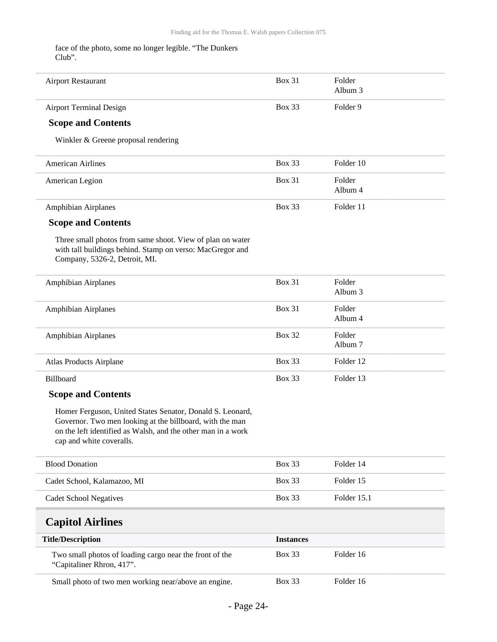face of the photo, some no longer legible. "The Dunkers Club".

<span id="page-23-0"></span>

| <b>Airport Restaurant</b>                                                                                                                                                                                         | <b>Box 31</b>    | Folder<br>Album 3 |
|-------------------------------------------------------------------------------------------------------------------------------------------------------------------------------------------------------------------|------------------|-------------------|
| <b>Airport Terminal Design</b>                                                                                                                                                                                    | <b>Box 33</b>    | Folder 9          |
| <b>Scope and Contents</b>                                                                                                                                                                                         |                  |                   |
| Winkler & Greene proposal rendering                                                                                                                                                                               |                  |                   |
| <b>American Airlines</b>                                                                                                                                                                                          | <b>Box 33</b>    | Folder 10         |
| American Legion                                                                                                                                                                                                   | Box 31           | Folder<br>Album 4 |
| Amphibian Airplanes                                                                                                                                                                                               | Box 33           | Folder 11         |
| <b>Scope and Contents</b>                                                                                                                                                                                         |                  |                   |
| Three small photos from same shoot. View of plan on water<br>with tall buildings behind. Stamp on verso: MacGregor and<br>Company, 5326-2, Detroit, MI.                                                           |                  |                   |
| Amphibian Airplanes                                                                                                                                                                                               | Box 31           | Folder<br>Album 3 |
| <b>Amphibian Airplanes</b>                                                                                                                                                                                        | Box 31           | Folder<br>Album 4 |
| Amphibian Airplanes                                                                                                                                                                                               | <b>Box 32</b>    | Folder<br>Album 7 |
| <b>Atlas Products Airplane</b>                                                                                                                                                                                    | <b>Box 33</b>    | Folder 12         |
| Billboard                                                                                                                                                                                                         | <b>Box 33</b>    | Folder 13         |
| <b>Scope and Contents</b>                                                                                                                                                                                         |                  |                   |
| Homer Ferguson, United States Senator, Donald S. Leonard,<br>Governor. Two men looking at the billboard, with the man<br>on the left identified as Walsh, and the other man in a work<br>cap and white coveralls. |                  |                   |
| <b>Blood Donation</b>                                                                                                                                                                                             | Box 33           | Folder 14         |
| Cadet School, Kalamazoo, MI                                                                                                                                                                                       | Box 33           | Folder 15         |
| <b>Cadet School Negatives</b>                                                                                                                                                                                     | Box 33           | Folder 15.1       |
| <b>Capitol Airlines</b>                                                                                                                                                                                           |                  |                   |
| <b>Title/Description</b>                                                                                                                                                                                          | <b>Instances</b> |                   |
| Two small photos of loading cargo near the front of the<br>"Capitaliner Rhron, 417".                                                                                                                              | <b>Box 33</b>    | Folder 16         |
| Small photo of two men working near/above an engine.                                                                                                                                                              | Box 33           | Folder 16         |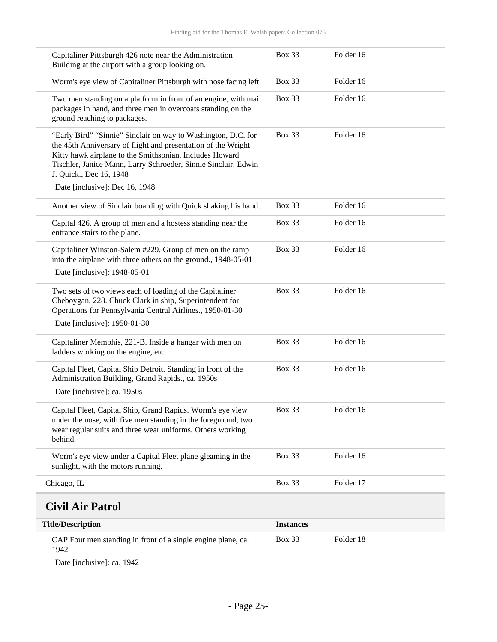| Capitaliner Pittsburgh 426 note near the Administration<br>Building at the airport with a group looking on.                                                                                                                                                                            | <b>Box 33</b>    | Folder 16 |  |
|----------------------------------------------------------------------------------------------------------------------------------------------------------------------------------------------------------------------------------------------------------------------------------------|------------------|-----------|--|
| Worm's eye view of Capitaliner Pittsburgh with nose facing left.                                                                                                                                                                                                                       | <b>Box 33</b>    | Folder 16 |  |
| Two men standing on a platform in front of an engine, with mail<br>packages in hand, and three men in overcoats standing on the<br>ground reaching to packages.                                                                                                                        | <b>Box 33</b>    | Folder 16 |  |
| "Early Bird" "Sinnie" Sinclair on way to Washington, D.C. for<br>the 45th Anniversary of flight and presentation of the Wright<br>Kitty hawk airplane to the Smithsonian. Includes Howard<br>Tischler, Janice Mann, Larry Schroeder, Sinnie Sinclair, Edwin<br>J. Quick., Dec 16, 1948 | <b>Box 33</b>    | Folder 16 |  |
| Date [inclusive]: Dec 16, 1948                                                                                                                                                                                                                                                         |                  |           |  |
| Another view of Sinclair boarding with Quick shaking his hand.                                                                                                                                                                                                                         | <b>Box 33</b>    | Folder 16 |  |
| Capital 426. A group of men and a hostess standing near the<br>entrance stairs to the plane.                                                                                                                                                                                           | <b>Box 33</b>    | Folder 16 |  |
| Capitaliner Winston-Salem #229. Group of men on the ramp<br>into the airplane with three others on the ground., 1948-05-01                                                                                                                                                             | <b>Box 33</b>    | Folder 16 |  |
| Date [inclusive]: 1948-05-01                                                                                                                                                                                                                                                           |                  |           |  |
| Two sets of two views each of loading of the Capitaliner<br>Cheboygan, 228. Chuck Clark in ship, Superintendent for<br>Operations for Pennsylvania Central Airlines., 1950-01-30                                                                                                       | <b>Box 33</b>    | Folder 16 |  |
| Date [inclusive]: 1950-01-30                                                                                                                                                                                                                                                           |                  |           |  |
| Capitaliner Memphis, 221-B. Inside a hangar with men on<br>ladders working on the engine, etc.                                                                                                                                                                                         | <b>Box 33</b>    | Folder 16 |  |
| Capital Fleet, Capital Ship Detroit. Standing in front of the<br>Administration Building, Grand Rapids., ca. 1950s                                                                                                                                                                     | <b>Box 33</b>    | Folder 16 |  |
| Date [inclusive]: ca. 1950s                                                                                                                                                                                                                                                            |                  |           |  |
| Capital Fleet, Capital Ship, Grand Rapids. Worm's eye view<br>under the nose, with five men standing in the foreground, two<br>wear regular suits and three wear uniforms. Others working<br>behind.                                                                                   | <b>Box 33</b>    | Folder 16 |  |
| Worm's eye view under a Capital Fleet plane gleaming in the<br>sunlight, with the motors running.                                                                                                                                                                                      | <b>Box 33</b>    | Folder 16 |  |
| Chicago, IL                                                                                                                                                                                                                                                                            | <b>Box 33</b>    | Folder 17 |  |
| <b>Civil Air Patrol</b>                                                                                                                                                                                                                                                                |                  |           |  |
| <b>Title/Description</b>                                                                                                                                                                                                                                                               | <b>Instances</b> |           |  |
| CAP Four men standing in front of a single engine plane, ca.<br>1942                                                                                                                                                                                                                   | <b>Box 33</b>    | Folder 18 |  |

<span id="page-24-0"></span>Date [inclusive]: ca. 1942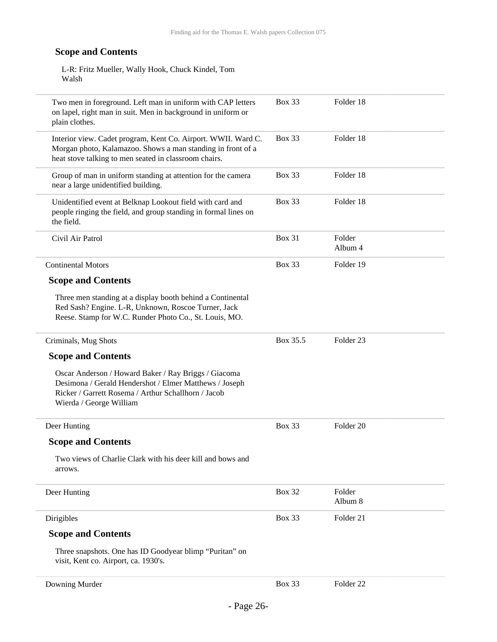L-R: Fritz Mueller, Wally Hook, Chuck Kindel, Tom Walsh

| Two men in foreground. Left man in uniform with CAP letters<br>on lapel, right man in suit. Men in background in uniform or<br>plain clothes.                                                    | <b>Box 33</b> | Folder 18            |
|--------------------------------------------------------------------------------------------------------------------------------------------------------------------------------------------------|---------------|----------------------|
| Interior view. Cadet program, Kent Co. Airport. WWII. Ward C.<br>Morgan photo, Kalamazoo. Shows a man standing in front of a<br>heat stove talking to men seated in classroom chairs.            | <b>Box 33</b> | Folder 18            |
| Group of man in uniform standing at attention for the camera<br>near a large unidentified building.                                                                                              | <b>Box 33</b> | Folder 18            |
| Unidentified event at Belknap Lookout field with card and<br>people ringing the field, and group standing in formal lines on<br>the field.                                                       | <b>Box 33</b> | Folder 18            |
| Civil Air Patrol                                                                                                                                                                                 | Box 31        | Folder<br>Album 4    |
| <b>Continental Motors</b>                                                                                                                                                                        | <b>Box 33</b> | Folder 19            |
| <b>Scope and Contents</b>                                                                                                                                                                        |               |                      |
| Three men standing at a display booth behind a Continental<br>Red Sash? Engine. L-R, Unknown, Roscoe Turner, Jack<br>Reese. Stamp for W.C. Runder Photo Co., St. Louis, MO.                      |               |                      |
| Criminals, Mug Shots                                                                                                                                                                             | Box 35.5      | Folder <sub>23</sub> |
| <b>Scope and Contents</b>                                                                                                                                                                        |               |                      |
| Oscar Anderson / Howard Baker / Ray Briggs / Giacoma<br>Desimona / Gerald Hendershot / Elmer Matthews / Joseph<br>Ricker / Garrett Rosema / Arthur Schallhorn / Jacob<br>Wierda / George William |               |                      |
| Deer Hunting                                                                                                                                                                                     | <b>Box 33</b> | Folder 20            |
| <b>Scope and Contents</b>                                                                                                                                                                        |               |                      |
| Two views of Charlie Clark with his deer kill and bows and<br>arrows.                                                                                                                            |               |                      |
| Deer Hunting                                                                                                                                                                                     | <b>Box 32</b> | Folder<br>Album 8    |
| Dirigibles                                                                                                                                                                                       | <b>Box 33</b> | Folder 21            |
| <b>Scope and Contents</b>                                                                                                                                                                        |               |                      |
| Three snapshots. One has ID Goodyear blimp "Puritan" on<br>visit, Kent co. Airport, ca. 1930's.                                                                                                  |               |                      |
| Downing Murder                                                                                                                                                                                   | Box 33        | Folder <sub>22</sub> |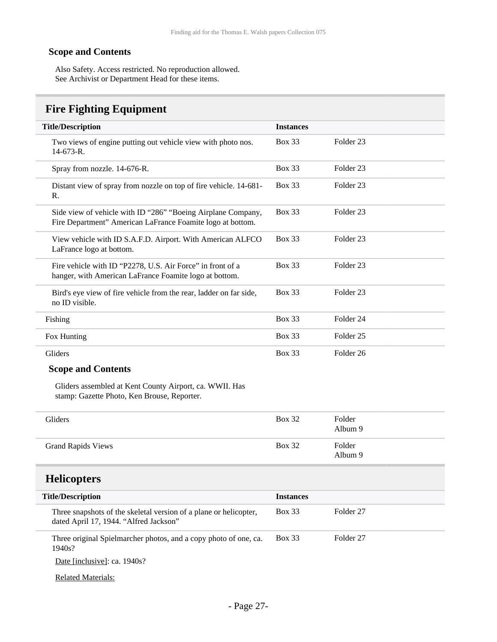Also Safety. Access restricted. No reproduction allowed. See Archivist or Department Head for these items.

### <span id="page-26-0"></span>**Fire Fighting Equipment**

| <b>Title/Description</b>                                                                                                   | <b>Instances</b> |                      |
|----------------------------------------------------------------------------------------------------------------------------|------------------|----------------------|
| Two views of engine putting out vehicle view with photo nos.<br>$14-673-R.$                                                | <b>Box 33</b>    | Folder <sub>23</sub> |
| Spray from nozzle. 14-676-R.                                                                                               | <b>Box 33</b>    | Folder 23            |
| Distant view of spray from nozzle on top of fire vehicle. 14-681-<br>$\mathbf{R}$ .                                        | <b>Box 33</b>    | Folder 23            |
| Side view of vehicle with ID "286" "Boeing Airplane Company,<br>Fire Department" American LaFrance Foamite logo at bottom. | Box 33           | Folder <sub>23</sub> |
| View vehicle with ID S.A.F.D. Airport. With American ALFCO<br>LaFrance logo at bottom.                                     | Box 33           | Folder <sub>23</sub> |
| Fire vehicle with ID "P2278, U.S. Air Force" in front of a<br>hanger, with American LaFrance Foamite logo at bottom.       | <b>Box 33</b>    | Folder <sub>23</sub> |
| Bird's eye view of fire vehicle from the rear, ladder on far side,<br>no ID visible.                                       | Box 33           | Folder <sub>23</sub> |
| Fishing                                                                                                                    | <b>Box 33</b>    | Folder <sub>24</sub> |
| Fox Hunting                                                                                                                | <b>Box 33</b>    | Folder <sub>25</sub> |
| Gliders                                                                                                                    | <b>Box 33</b>    | Folder <sub>26</sub> |

#### **Scope and Contents**

Gliders assembled at Kent County Airport, ca. WWII. Has stamp: Gazette Photo, Ken Brouse, Reporter.

| Gliders                   | <b>Box 32</b> | Folder<br>Album 9 |
|---------------------------|---------------|-------------------|
| <b>Grand Rapids Views</b> | <b>Box 32</b> | Folder<br>Album 9 |

### <span id="page-26-1"></span>**Helicopters**

| <b>Title/Description</b>                                                                                    | <b>Instances</b> |           |
|-------------------------------------------------------------------------------------------------------------|------------------|-----------|
| Three snapshots of the skeletal version of a plane or helicopter,<br>dated April 17, 1944. "Alfred Jackson" | Box 33           | Folder 27 |
| Three original Spielmarcher photos, and a copy photo of one, ca.<br>1940s?                                  | <b>Box 33</b>    | Folder 27 |
| Date [inclusive]: ca. 1940s?                                                                                |                  |           |
| <b>Related Materials:</b>                                                                                   |                  |           |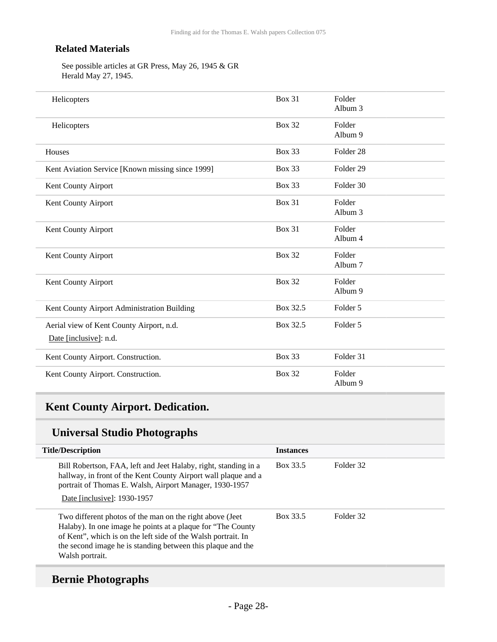#### **Related Materials**

See possible articles at GR Press, May 26, 1945 & GR Herald May 27, 1945.

| Helicopters                                                        | <b>Box 31</b> | Folder<br>Album 3    |  |
|--------------------------------------------------------------------|---------------|----------------------|--|
| Helicopters                                                        | <b>Box 32</b> | Folder<br>Album 9    |  |
| Houses                                                             | <b>Box 33</b> | Folder <sub>28</sub> |  |
| Kent Aviation Service [Known missing since 1999]                   | <b>Box 33</b> | Folder 29            |  |
| Kent County Airport                                                | <b>Box 33</b> | Folder 30            |  |
| Kent County Airport                                                | <b>Box 31</b> | Folder<br>Album 3    |  |
| Kent County Airport                                                | <b>Box 31</b> | Folder<br>Album 4    |  |
| Kent County Airport                                                | <b>Box 32</b> | Folder<br>Album 7    |  |
| Kent County Airport                                                | <b>Box 32</b> | Folder<br>Album 9    |  |
| Kent County Airport Administration Building                        | Box 32.5      | Folder 5             |  |
| Aerial view of Kent County Airport, n.d.<br>Date [inclusive]: n.d. | Box 32.5      | Folder 5             |  |
| Kent County Airport. Construction.                                 | <b>Box 33</b> | Folder 31            |  |
| Kent County Airport. Construction.                                 | <b>Box 32</b> | Folder<br>Album 9    |  |

## <span id="page-27-0"></span>**Kent County Airport. Dedication.**

### **Universal Studio Photographs**

| <b>Title/Description</b>                                                                                                                                                                                                                                                     | <b>Instances</b> |           |
|------------------------------------------------------------------------------------------------------------------------------------------------------------------------------------------------------------------------------------------------------------------------------|------------------|-----------|
| Bill Robertson, FAA, left and Jeet Halaby, right, standing in a<br>hallway, in front of the Kent County Airport wall plaque and a<br>portrait of Thomas E. Walsh, Airport Manager, 1930-1957                                                                                 | Box 33.5         | Folder 32 |
| Date [inclusive]: 1930-1957                                                                                                                                                                                                                                                  |                  |           |
| Two different photos of the man on the right above (Jeet)<br>Halaby). In one image he points at a plaque for "The County"<br>of Kent", which is on the left side of the Walsh portrait. In<br>the second image he is standing between this plaque and the<br>Walsh portrait. | Box 33.5         | Folder 32 |

## **Bernie Photographs**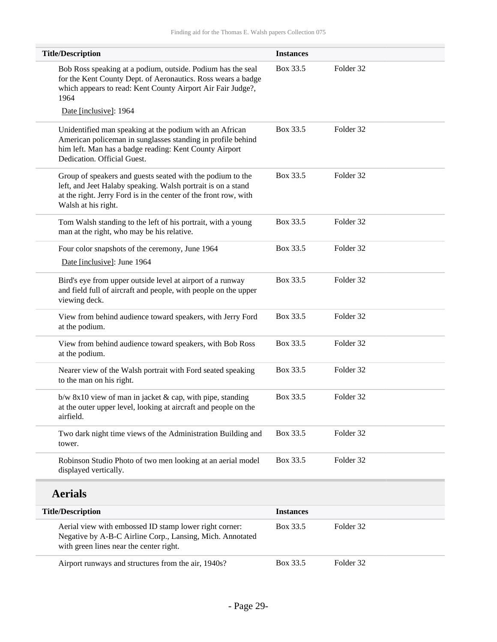| <b>Title/Description</b>                                                                                                                                                                                              | <b>Instances</b> |           |  |
|-----------------------------------------------------------------------------------------------------------------------------------------------------------------------------------------------------------------------|------------------|-----------|--|
| Bob Ross speaking at a podium, outside. Podium has the seal<br>for the Kent County Dept. of Aeronautics. Ross wears a badge<br>which appears to read: Kent County Airport Air Fair Judge?,<br>1964                    | Box 33.5         | Folder 32 |  |
| Date [inclusive]: 1964                                                                                                                                                                                                |                  |           |  |
| Unidentified man speaking at the podium with an African<br>American policeman in sunglasses standing in profile behind<br>him left. Man has a badge reading: Kent County Airport<br>Dedication. Official Guest.       | Box 33.5         | Folder 32 |  |
| Group of speakers and guests seated with the podium to the<br>left, and Jeet Halaby speaking. Walsh portrait is on a stand<br>at the right. Jerry Ford is in the center of the front row, with<br>Walsh at his right. | Box 33.5         | Folder 32 |  |
| Tom Walsh standing to the left of his portrait, with a young<br>man at the right, who may be his relative.                                                                                                            | Box 33.5         | Folder 32 |  |
| Four color snapshots of the ceremony, June 1964                                                                                                                                                                       | Box 33.5         | Folder 32 |  |
| Date [inclusive]: June 1964                                                                                                                                                                                           |                  |           |  |
| Bird's eye from upper outside level at airport of a runway<br>and field full of aircraft and people, with people on the upper<br>viewing deck.                                                                        | Box 33.5         | Folder 32 |  |
| View from behind audience toward speakers, with Jerry Ford<br>at the podium.                                                                                                                                          | Box 33.5         | Folder 32 |  |
| View from behind audience toward speakers, with Bob Ross<br>at the podium.                                                                                                                                            | Box 33.5         | Folder 32 |  |
| Nearer view of the Walsh portrait with Ford seated speaking<br>to the man on his right.                                                                                                                               | Box 33.5         | Folder 32 |  |
| $b/w$ 8x10 view of man in jacket & cap, with pipe, standing<br>at the outer upper level, looking at aircraft and people on the<br>airfield.                                                                           | Box 33.5         | Folder 32 |  |
| Two dark night time views of the Administration Building and<br>tower.                                                                                                                                                | Box 33.5         | Folder 32 |  |
| Robinson Studio Photo of two men looking at an aerial model<br>displayed vertically.                                                                                                                                  | Box 33.5         | Folder 32 |  |
| <b>Aerials</b>                                                                                                                                                                                                        |                  |           |  |
| <b>Title/Description</b>                                                                                                                                                                                              | <b>Instances</b> |           |  |
| Aerial view with embossed ID stamp lower right corner:<br>Negative by A-B-C Airline Corp., Lansing, Mich. Annotated<br>with green lines near the center right.                                                        | Box 33.5         | Folder 32 |  |
| Airport runways and structures from the air, 1940s?                                                                                                                                                                   | Box 33.5         | Folder 32 |  |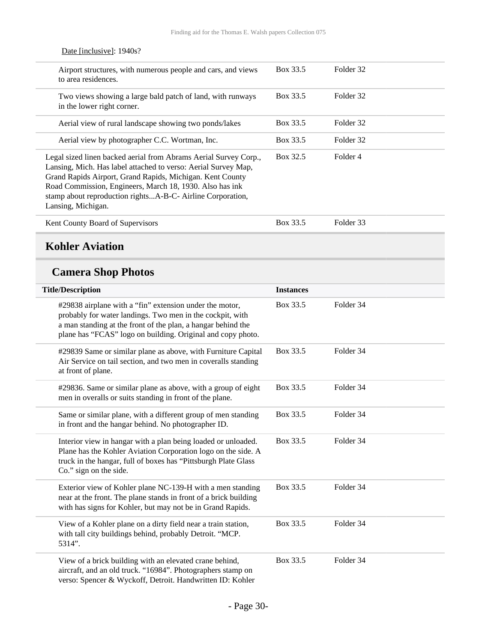| Airport structures, with numerous people and cars, and views<br>to area residences.                                                                                                                                                                                                                                                             | Box 33.5 | Folder 32 |
|-------------------------------------------------------------------------------------------------------------------------------------------------------------------------------------------------------------------------------------------------------------------------------------------------------------------------------------------------|----------|-----------|
| Two views showing a large bald patch of land, with runways<br>in the lower right corner.                                                                                                                                                                                                                                                        | Box 33.5 | Folder 32 |
| Aerial view of rural landscape showing two ponds/lakes                                                                                                                                                                                                                                                                                          | Box 33.5 | Folder 32 |
| Aerial view by photographer C.C. Wortman, Inc.                                                                                                                                                                                                                                                                                                  | Box 33.5 | Folder 32 |
| Legal sized linen backed aerial from Abrams Aerial Survey Corp.,<br>Lansing, Mich. Has label attached to verso: Aerial Survey Map,<br>Grand Rapids Airport, Grand Rapids, Michigan. Kent County<br>Road Commission, Engineers, March 18, 1930. Also has ink<br>stamp about reproduction rightsA-B-C- Airline Corporation,<br>Lansing, Michigan. | Box 32.5 | Folder 4  |
| Kent County Board of Supervisors                                                                                                                                                                                                                                                                                                                | Box 33.5 | Folder 33 |

#### Date [inclusive]: 1940s?

### <span id="page-29-0"></span>**Kohler Aviation**

## **Camera Shop Photos**

| <b>Title/Description</b>                                                                                                                                                                                                                            | <b>Instances</b> |           |
|-----------------------------------------------------------------------------------------------------------------------------------------------------------------------------------------------------------------------------------------------------|------------------|-----------|
| #29838 airplane with a "fin" extension under the motor,<br>probably for water landings. Two men in the cockpit, with<br>a man standing at the front of the plan, a hangar behind the<br>plane has "FCAS" logo on building. Original and copy photo. | Box 33.5         | Folder 34 |
| #29839 Same or similar plane as above, with Furniture Capital<br>Air Service on tail section, and two men in coveralls standing<br>at front of plane.                                                                                               | Box 33.5         | Folder 34 |
| #29836. Same or similar plane as above, with a group of eight<br>men in overalls or suits standing in front of the plane.                                                                                                                           | Box 33.5         | Folder 34 |
| Same or similar plane, with a different group of men standing<br>in front and the hangar behind. No photographer ID.                                                                                                                                | Box 33.5         | Folder 34 |
| Interior view in hangar with a plan being loaded or unloaded.<br>Plane has the Kohler Aviation Corporation logo on the side. A<br>truck in the hangar, full of boxes has "Pittsburgh Plate Glass<br>Co." sign on the side.                          | Box 33.5         | Folder 34 |
| Exterior view of Kohler plane NC-139-H with a men standing<br>near at the front. The plane stands in front of a brick building<br>with has signs for Kohler, but may not be in Grand Rapids.                                                        | Box 33.5         | Folder 34 |
| View of a Kohler plane on a dirty field near a train station,<br>with tall city buildings behind, probably Detroit. "MCP.<br>5314".                                                                                                                 | Box 33.5         | Folder 34 |
| View of a brick building with an elevated crane behind,<br>aircraft, and an old truck. "16984". Photographers stamp on<br>verso: Spencer & Wyckoff, Detroit. Handwritten ID: Kohler                                                                 | Box 33.5         | Folder 34 |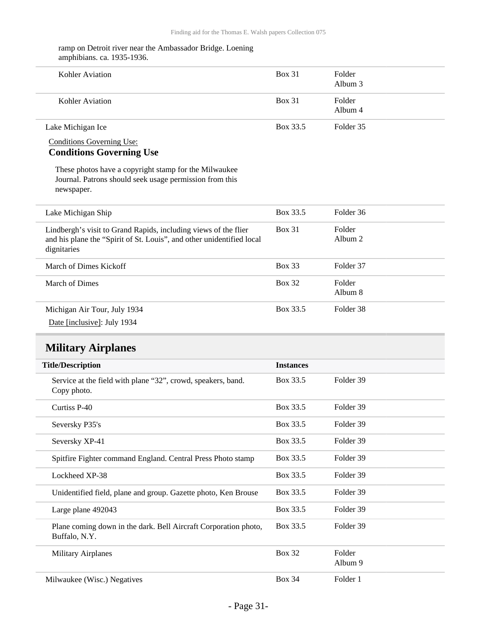#### ramp on Detroit river near the Ambassador Bridge. Loening amphibians. ca. 1935-1936.

| Kohler Aviation   | <b>Box 31</b> | Folder<br>Album 3 |
|-------------------|---------------|-------------------|
| Kohler Aviation   | <b>Box 31</b> | Folder<br>Album 4 |
| Lake Michigan Ice | Box 33.5      | Folder 35         |

Conditions Governing Use:

#### **Conditions Governing Use**

These photos have a copyright stamp for the Milwaukee Journal. Patrons should seek usage permission from this newspaper.

| Lake Michigan Ship                                                                                                                                      | Box 33.5      | Folder 36           |
|---------------------------------------------------------------------------------------------------------------------------------------------------------|---------------|---------------------|
| Lindbergh's visit to Grand Rapids, including views of the flier<br>and his plane the "Spirit of St. Louis", and other unidentified local<br>dignitaries | <b>Box 31</b> | Folder<br>Album $2$ |
| March of Dimes Kickoff                                                                                                                                  | Box 33        | Folder 37           |
| March of Dimes                                                                                                                                          | <b>Box 32</b> | Folder<br>Album 8   |
| Michigan Air Tour, July 1934                                                                                                                            | Box 33.5      | Folder 38           |
| Date [inclusive]: July 1934                                                                                                                             |               |                     |

### <span id="page-30-0"></span>**Military Airplanes**

| <b>Title/Description</b>                                                         | <b>Instances</b> |                   |
|----------------------------------------------------------------------------------|------------------|-------------------|
| Service at the field with plane "32", crowd, speakers, band.<br>Copy photo.      | Box 33.5         | Folder 39         |
| Curtiss P-40                                                                     | Box 33.5         | Folder 39         |
| Seversky P35's                                                                   | Box 33.5         | Folder 39         |
| Seversky XP-41                                                                   | Box 33.5         | Folder 39         |
| Spitfire Fighter command England. Central Press Photo stamp                      | Box 33.5         | Folder 39         |
| Lockheed XP-38                                                                   | Box 33.5         | Folder 39         |
| Unidentified field, plane and group. Gazette photo, Ken Brouse                   | Box 33.5         | Folder 39         |
| Large plane 492043                                                               | Box 33.5         | Folder 39         |
| Plane coming down in the dark. Bell Aircraft Corporation photo,<br>Buffalo, N.Y. | Box 33.5         | Folder 39         |
| <b>Military Airplanes</b>                                                        | <b>Box 32</b>    | Folder<br>Album 9 |
| Milwaukee (Wisc.) Negatives                                                      | <b>Box 34</b>    | Folder 1          |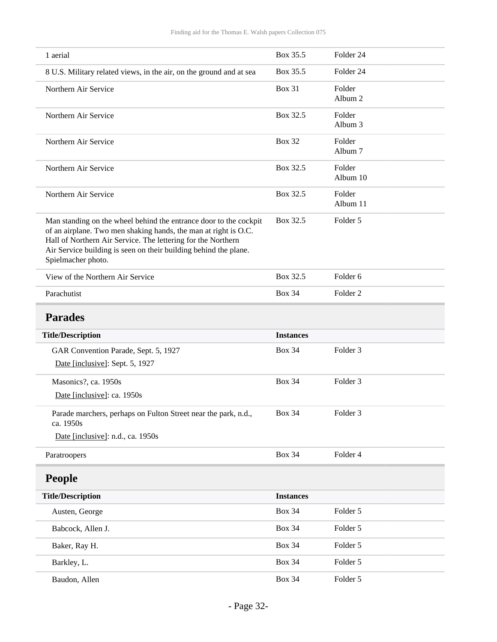<span id="page-31-1"></span><span id="page-31-0"></span>

| 1 aerial                                                                                                                                                                                                                                                                                       | Box 35.5         | Folder 24           |
|------------------------------------------------------------------------------------------------------------------------------------------------------------------------------------------------------------------------------------------------------------------------------------------------|------------------|---------------------|
| 8 U.S. Military related views, in the air, on the ground and at sea                                                                                                                                                                                                                            | Box 35.5         | Folder 24           |
| Northern Air Service                                                                                                                                                                                                                                                                           | <b>Box 31</b>    | Folder<br>Album 2   |
| Northern Air Service                                                                                                                                                                                                                                                                           | Box 32.5         | Folder<br>Album 3   |
| Northern Air Service                                                                                                                                                                                                                                                                           | <b>Box 32</b>    | Folder<br>Album 7   |
| Northern Air Service                                                                                                                                                                                                                                                                           | Box 32.5         | Folder<br>Album 10  |
| Northern Air Service                                                                                                                                                                                                                                                                           | Box 32.5         | Folder<br>Album 11  |
| Man standing on the wheel behind the entrance door to the cockpit<br>of an airplane. Two men shaking hands, the man at right is O.C.<br>Hall of Northern Air Service. The lettering for the Northern<br>Air Service building is seen on their building behind the plane.<br>Spielmacher photo. | Box 32.5         | Folder 5            |
| View of the Northern Air Service                                                                                                                                                                                                                                                               | Box 32.5         | Folder <sub>6</sub> |
| Parachutist                                                                                                                                                                                                                                                                                    | <b>Box 34</b>    | Folder <sub>2</sub> |
| <b>Parades</b>                                                                                                                                                                                                                                                                                 |                  |                     |
| <b>Title/Description</b>                                                                                                                                                                                                                                                                       | <b>Instances</b> |                     |
|                                                                                                                                                                                                                                                                                                |                  |                     |
| GAR Convention Parade, Sept. 5, 1927<br>Date [inclusive]: Sept. 5, 1927                                                                                                                                                                                                                        | <b>Box 34</b>    | Folder <sub>3</sub> |
| Masonics?, ca. 1950s<br>Date [inclusive]: ca. 1950s                                                                                                                                                                                                                                            | <b>Box 34</b>    | Folder <sub>3</sub> |
| Parade marchers, perhaps on Fulton Street near the park, n.d.,<br>ca. 1950s                                                                                                                                                                                                                    | <b>Box 34</b>    | Folder 3            |
| Date [inclusive]: n.d., ca. 1950s                                                                                                                                                                                                                                                              |                  |                     |
| Paratroopers                                                                                                                                                                                                                                                                                   | <b>Box 34</b>    | Folder 4            |
| <b>People</b>                                                                                                                                                                                                                                                                                  |                  |                     |
| <b>Title/Description</b>                                                                                                                                                                                                                                                                       | <b>Instances</b> |                     |
| Austen, George                                                                                                                                                                                                                                                                                 | <b>Box 34</b>    | Folder 5            |
| Babcock, Allen J.                                                                                                                                                                                                                                                                              | <b>Box 34</b>    | Folder 5            |
| Baker, Ray H.                                                                                                                                                                                                                                                                                  | <b>Box 34</b>    | Folder 5            |
| Barkley, L.                                                                                                                                                                                                                                                                                    | <b>Box 34</b>    | Folder 5            |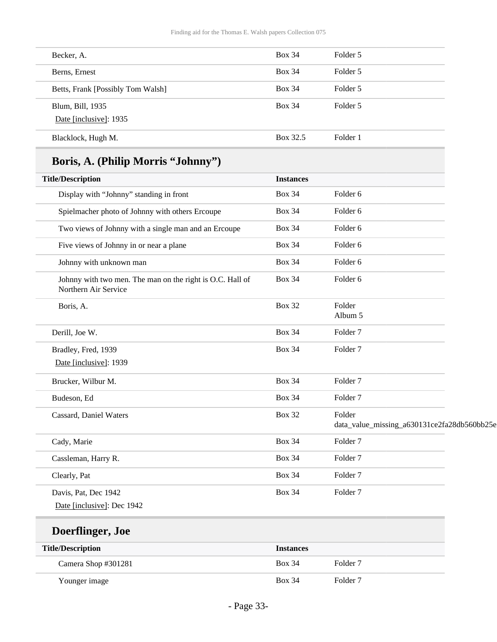| Becker, A.                                 | <b>Box 34</b> | Folder 5 |
|--------------------------------------------|---------------|----------|
| Berns, Ernest                              | <b>Box 34</b> | Folder 5 |
| Betts, Frank [Possibly Tom Walsh]          | <b>Box 34</b> | Folder 5 |
| Blum, Bill, 1935<br>Date [inclusive]: 1935 | <b>Box 34</b> | Folder 5 |
| Blacklock, Hugh M.                         | Box 32.5      | Folder 1 |

## **Boris, A. (Philip Morris "Johnny")**

| <b>Title/Description</b>                                                          | <b>Instances</b> |                                             |
|-----------------------------------------------------------------------------------|------------------|---------------------------------------------|
| Display with "Johnny" standing in front                                           | <b>Box 34</b>    | Folder 6                                    |
| Spielmacher photo of Johnny with others Ercoupe                                   | <b>Box 34</b>    | Folder 6                                    |
| Two views of Johnny with a single man and an Ercoupe                              | <b>Box 34</b>    | Folder 6                                    |
| Five views of Johnny in or near a plane                                           | <b>Box 34</b>    | Folder 6                                    |
| Johnny with unknown man                                                           | <b>Box 34</b>    | Folder 6                                    |
| Johnny with two men. The man on the right is O.C. Hall of<br>Northern Air Service | <b>Box 34</b>    | Folder 6                                    |
| Boris, A.                                                                         | <b>Box 32</b>    | Folder                                      |
|                                                                                   |                  | Album 5                                     |
| Derill, Joe W.                                                                    | <b>Box 34</b>    | Folder <sub>7</sub>                         |
| Bradley, Fred, 1939                                                               | <b>Box 34</b>    | Folder <sub>7</sub>                         |
| Date [inclusive]: 1939                                                            |                  |                                             |
| Brucker, Wilbur M.                                                                | <b>Box 34</b>    | Folder <sub>7</sub>                         |
| Budeson, Ed                                                                       | <b>Box 34</b>    | Folder <sub>7</sub>                         |
| Cassard, Daniel Waters                                                            | <b>Box 32</b>    | Folder                                      |
|                                                                                   |                  | data_value_missing_a630131ce2fa28db560bb25e |
| Cady, Marie                                                                       | <b>Box 34</b>    | Folder <sub>7</sub>                         |
| Cassleman, Harry R.                                                               | <b>Box 34</b>    | Folder <sub>7</sub>                         |
| Clearly, Pat                                                                      | <b>Box 34</b>    | Folder <sub>7</sub>                         |
| Davis, Pat, Dec 1942                                                              | <b>Box 34</b>    | Folder <sub>7</sub>                         |
| Date [inclusive]: Dec 1942                                                        |                  |                                             |
| Doerflinger, Joe                                                                  |                  |                                             |
| <b>Title/Description</b>                                                          | <b>Instances</b> |                                             |

Camera Shop #301281 Box 34 Folder 7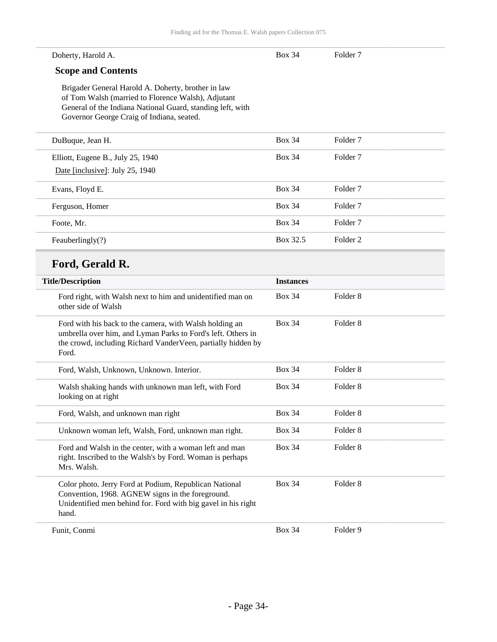| Doherty, Harold A.                                                                                                                                                                                                  | <b>Box 34</b>    | Folder <sub>7</sub> |
|---------------------------------------------------------------------------------------------------------------------------------------------------------------------------------------------------------------------|------------------|---------------------|
| <b>Scope and Contents</b>                                                                                                                                                                                           |                  |                     |
| Brigader General Harold A. Doherty, brother in law<br>of Tom Walsh (married to Florence Walsh), Adjutant<br>General of the Indiana National Guard, standing left, with<br>Governor George Craig of Indiana, seated. |                  |                     |
| DuBuque, Jean H.                                                                                                                                                                                                    | <b>Box 34</b>    | Folder <sub>7</sub> |
| Elliott, Eugene B., July 25, 1940                                                                                                                                                                                   | <b>Box 34</b>    | Folder <sub>7</sub> |
| Date [inclusive]: July 25, 1940                                                                                                                                                                                     |                  |                     |
| Evans, Floyd E.                                                                                                                                                                                                     | <b>Box 34</b>    | Folder <sub>7</sub> |
| Ferguson, Homer                                                                                                                                                                                                     | <b>Box 34</b>    | Folder <sub>7</sub> |
| Foote, Mr.                                                                                                                                                                                                          | <b>Box 34</b>    | Folder <sub>7</sub> |
| Feauberlingly(?)                                                                                                                                                                                                    | Box 32.5         | Folder <sub>2</sub> |
| Ford, Gerald R.                                                                                                                                                                                                     |                  |                     |
| <b>Title/Description</b>                                                                                                                                                                                            | <b>Instances</b> |                     |
| Ford right, with Walsh next to him and unidentified man on<br>other side of Walsh                                                                                                                                   | <b>Box 34</b>    | Folder <sub>8</sub> |
| Ford with his back to the camera, with Walsh holding an<br>umbrella over him, and Lyman Parks to Ford's left. Others in<br>the crowd, including Richard VanderVeen, partially hidden by<br>Ford.                    | <b>Box 34</b>    | Folder <sub>8</sub> |
| Ford, Walsh, Unknown, Unknown. Interior.                                                                                                                                                                            | <b>Box 34</b>    | Folder <sub>8</sub> |
| Walsh shaking hands with unknown man left, with Ford<br>looking on at right                                                                                                                                         | <b>Box 34</b>    | Folder <sub>8</sub> |
| Ford, Walsh, and unknown man right                                                                                                                                                                                  | <b>Box 34</b>    | Folder <sub>8</sub> |
| Unknown woman left, Walsh, Ford, unknown man right.                                                                                                                                                                 | <b>Box 34</b>    | Folder 8            |
| Ford and Walsh in the center, with a woman left and man<br>right. Inscribed to the Walsh's by Ford. Woman is perhaps<br>Mrs. Walsh.                                                                                 | <b>Box 34</b>    | Folder <sub>8</sub> |
| Color photo. Jerry Ford at Podium, Republican National<br>Convention, 1968. AGNEW signs in the foreground.<br>Unidentified men behind for. Ford with big gavel in his right<br>hand.                                | <b>Box 34</b>    | Folder <sub>8</sub> |
| Funit, Conmi                                                                                                                                                                                                        | <b>Box 34</b>    | Folder 9            |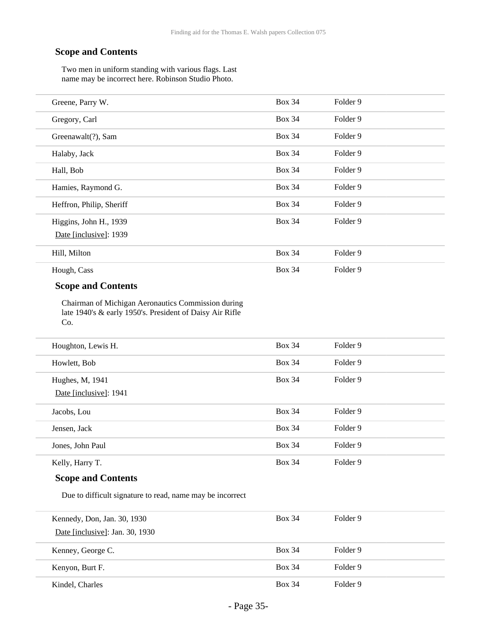Two men in uniform standing with various flags. Last name may be incorrect here. Robinson Studio Photo.

| Greene, Parry W.         | <b>Box 34</b> | Folder 9 |
|--------------------------|---------------|----------|
| Gregory, Carl            | <b>Box 34</b> | Folder 9 |
| Greenawalt(?), Sam       | <b>Box 34</b> | Folder 9 |
| Halaby, Jack             | <b>Box 34</b> | Folder 9 |
| Hall, Bob                | <b>Box 34</b> | Folder 9 |
| Hamies, Raymond G.       | <b>Box 34</b> | Folder 9 |
| Heffron, Philip, Sheriff | <b>Box 34</b> | Folder 9 |
| Higgins, John H., 1939   | <b>Box 34</b> | Folder 9 |
| Date [inclusive]: 1939   |               |          |
| Hill, Milton             | <b>Box 34</b> | Folder 9 |
| Hough, Cass              | <b>Box 34</b> | Folder 9 |

#### **Scope and Contents**

Chairman of Michigan Aeronautics Commission during late 1940's & early 1950's. President of Daisy Air Rifle Co.

| Houghton, Lewis H.                        | <b>Box 34</b> | Folder 9 |
|-------------------------------------------|---------------|----------|
| Howlett, Bob                              | <b>Box 34</b> | Folder 9 |
| Hughes, M, 1941<br>Date [inclusive]: 1941 | <b>Box 34</b> | Folder 9 |
| Jacobs, Lou                               | <b>Box 34</b> | Folder 9 |
| Jensen, Jack                              | <b>Box 34</b> | Folder 9 |
| Jones, John Paul                          | <b>Box 34</b> | Folder 9 |
| Kelly, Harry T.                           | <b>Box 34</b> | Folder 9 |

#### **Scope and Contents**

Due to difficult signature to read, name may be incorrect

| Kennedy, Don, Jan. 30, 1930     | <b>Box 34</b> | Folder 9 |
|---------------------------------|---------------|----------|
| Date [inclusive]: Jan. 30, 1930 |               |          |
| Kenney, George C.               | <b>Box 34</b> | Folder 9 |
| Kenyon, Burt F.                 | <b>Box 34</b> | Folder 9 |
| Kindel, Charles                 | <b>Box 34</b> | Folder 9 |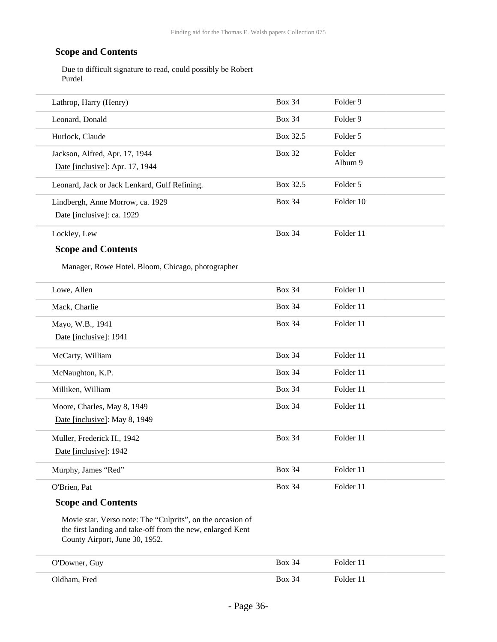Due to difficult signature to read, could possibly be Robert Purdel

| Lathrop, Harry (Henry)                                                                                                                                     | <b>Box 34</b> | Folder 9  |
|------------------------------------------------------------------------------------------------------------------------------------------------------------|---------------|-----------|
| Leonard, Donald                                                                                                                                            | <b>Box 34</b> | Folder 9  |
| Hurlock, Claude                                                                                                                                            | Box 32.5      | Folder 5  |
| Jackson, Alfred, Apr. 17, 1944                                                                                                                             | <b>Box 32</b> | Folder    |
| Date [inclusive]: Apr. 17, 1944                                                                                                                            |               | Album 9   |
| Leonard, Jack or Jack Lenkard, Gulf Refining.                                                                                                              | Box 32.5      | Folder 5  |
| Lindbergh, Anne Morrow, ca. 1929                                                                                                                           | <b>Box 34</b> | Folder 10 |
| Date [inclusive]: ca. 1929                                                                                                                                 |               |           |
| Lockley, Lew                                                                                                                                               | <b>Box 34</b> | Folder 11 |
| <b>Scope and Contents</b>                                                                                                                                  |               |           |
| Manager, Rowe Hotel. Bloom, Chicago, photographer                                                                                                          |               |           |
| Lowe, Allen                                                                                                                                                | <b>Box 34</b> | Folder 11 |
| Mack, Charlie                                                                                                                                              | <b>Box 34</b> | Folder 11 |
| Mayo, W.B., 1941                                                                                                                                           | <b>Box 34</b> | Folder 11 |
| Date [inclusive]: 1941                                                                                                                                     |               |           |
| McCarty, William                                                                                                                                           | <b>Box 34</b> | Folder 11 |
| McNaughton, K.P.                                                                                                                                           | <b>Box 34</b> | Folder 11 |
| Milliken, William                                                                                                                                          | <b>Box 34</b> | Folder 11 |
| Moore, Charles, May 8, 1949                                                                                                                                | <b>Box 34</b> | Folder 11 |
| Date [inclusive]: May 8, 1949                                                                                                                              |               |           |
| Muller, Frederick H., 1942                                                                                                                                 | <b>Box 34</b> | Folder 11 |
| Date [inclusive]: 1942                                                                                                                                     |               |           |
| Murphy, James "Red"                                                                                                                                        | <b>Box 34</b> | Folder 11 |
| O'Brien, Pat                                                                                                                                               | <b>Box 34</b> | Folder 11 |
| <b>Scope and Contents</b>                                                                                                                                  |               |           |
| Movie star. Verso note: The "Culprits", on the occasion of<br>the first landing and take-off from the new, enlarged Kent<br>County Airport, June 30, 1952. |               |           |

| O'Downer, Guy | <b>Box 34</b> | Folder 11 |
|---------------|---------------|-----------|
| Oldham, Fred  | <b>Box 34</b> | Folder 11 |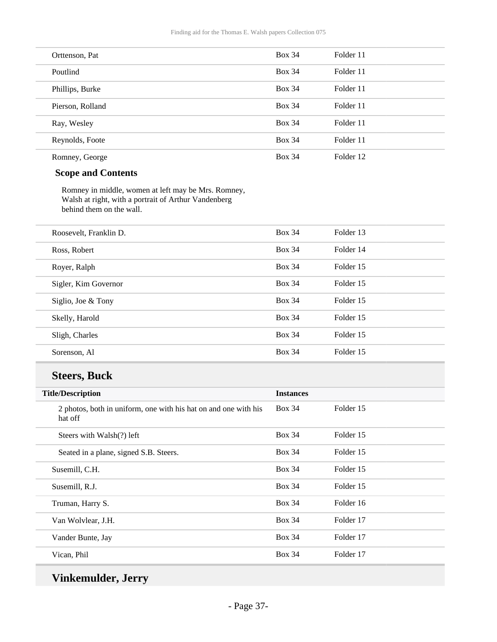| Orttenson, Pat   | <b>Box 34</b> | Folder 11 |
|------------------|---------------|-----------|
| Poutlind         | <b>Box 34</b> | Folder 11 |
| Phillips, Burke  | <b>Box 34</b> | Folder 11 |
| Pierson, Rolland | <b>Box 34</b> | Folder 11 |
| Ray, Wesley      | <b>Box 34</b> | Folder 11 |
| Reynolds, Foote  | <b>Box 34</b> | Folder 11 |
| Romney, George   | <b>Box 34</b> | Folder 12 |

Romney in middle, women at left may be Mrs. Romney, Walsh at right, with a portrait of Arthur Vandenberg behind them on the wall.

| <b>Box 34</b><br>Folder 13<br>Roosevelt, Franklin D.<br><b>Box 34</b><br>Folder 14<br>Ross, Robert<br><b>Box 34</b><br>Folder 15<br>Royer, Ralph<br><b>Box 34</b><br>Folder 15<br>Sigler, Kim Governor<br><b>Box 34</b><br>Folder 15<br>Siglio, Joe & Tony<br><b>Box 34</b><br>Folder 15<br>Skelly, Harold<br><b>Box 34</b><br>Folder 15<br>Sligh, Charles<br><b>Box 34</b><br>Folder 15<br>Sorenson, Al |  |  |
|----------------------------------------------------------------------------------------------------------------------------------------------------------------------------------------------------------------------------------------------------------------------------------------------------------------------------------------------------------------------------------------------------------|--|--|
|                                                                                                                                                                                                                                                                                                                                                                                                          |  |  |
|                                                                                                                                                                                                                                                                                                                                                                                                          |  |  |
|                                                                                                                                                                                                                                                                                                                                                                                                          |  |  |
|                                                                                                                                                                                                                                                                                                                                                                                                          |  |  |
|                                                                                                                                                                                                                                                                                                                                                                                                          |  |  |
|                                                                                                                                                                                                                                                                                                                                                                                                          |  |  |
|                                                                                                                                                                                                                                                                                                                                                                                                          |  |  |
|                                                                                                                                                                                                                                                                                                                                                                                                          |  |  |

### **Steers, Buck**

| <b>Title/Description</b>                                                   | <b>Instances</b> |           |
|----------------------------------------------------------------------------|------------------|-----------|
| 2 photos, both in uniform, one with his hat on and one with his<br>hat off | <b>Box 34</b>    | Folder 15 |
| Steers with Walsh(?) left                                                  | <b>Box 34</b>    | Folder 15 |
| Seated in a plane, signed S.B. Steers.                                     | <b>Box 34</b>    | Folder 15 |
| Susemill, C.H.                                                             | <b>Box 34</b>    | Folder 15 |
| Susemill, R.J.                                                             | <b>Box 34</b>    | Folder 15 |
| Truman, Harry S.                                                           | <b>Box 34</b>    | Folder 16 |
| Van Wolvlear, J.H.                                                         | <b>Box 34</b>    | Folder 17 |
| Vander Bunte, Jay                                                          | <b>Box 34</b>    | Folder 17 |
| Vican, Phil                                                                | <b>Box 34</b>    | Folder 17 |

**Vinkemulder, Jerry**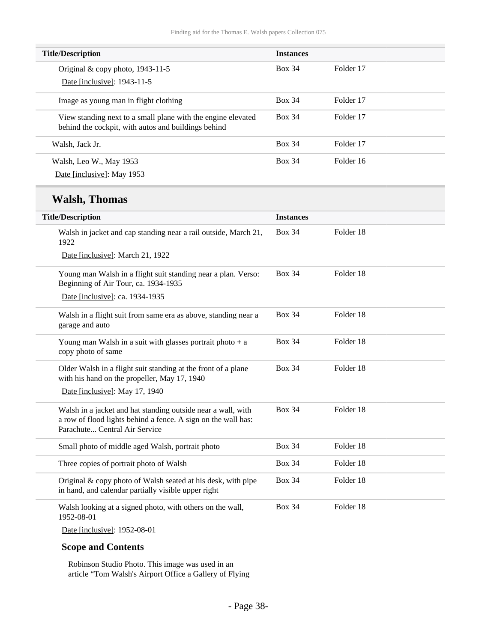| <b>Title/Description</b>                                                                                            | <b>Instances</b> |           |
|---------------------------------------------------------------------------------------------------------------------|------------------|-----------|
| Original $&$ copy photo, 1943-11-5                                                                                  | <b>Box 34</b>    | Folder 17 |
| Date [inclusive]: 1943-11-5                                                                                         |                  |           |
| Image as young man in flight clothing                                                                               | <b>Box 34</b>    | Folder 17 |
| View standing next to a small plane with the engine elevated<br>behind the cockpit, with autos and buildings behind | <b>Box 34</b>    | Folder 17 |
| Walsh, Jack Jr.                                                                                                     | <b>Box 34</b>    | Folder 17 |
| Walsh, Leo W., May 1953                                                                                             | <b>Box 34</b>    | Folder 16 |
| Date [inclusive]: May 1953                                                                                          |                  |           |

## **Walsh, Thomas**

| <b>Title/Description</b>                                                                                                                                       | <b>Instances</b> |           |
|----------------------------------------------------------------------------------------------------------------------------------------------------------------|------------------|-----------|
| Walsh in jacket and cap standing near a rail outside, March 21,<br>1922                                                                                        | <b>Box 34</b>    | Folder 18 |
| Date [inclusive]: March 21, 1922                                                                                                                               |                  |           |
| Young man Walsh in a flight suit standing near a plan. Verso:<br>Beginning of Air Tour, ca. 1934-1935                                                          | <b>Box 34</b>    | Folder 18 |
| Date [inclusive]: ca. 1934-1935                                                                                                                                |                  |           |
| Walsh in a flight suit from same era as above, standing near a<br>garage and auto                                                                              | <b>Box 34</b>    | Folder 18 |
| Young man Walsh in a suit with glasses portrait photo $+$ a<br>copy photo of same                                                                              | <b>Box 34</b>    | Folder 18 |
| Older Walsh in a flight suit standing at the front of a plane<br>with his hand on the propeller, May 17, 1940                                                  | <b>Box 34</b>    | Folder 18 |
| Date [inclusive]: May 17, 1940                                                                                                                                 |                  |           |
| Walsh in a jacket and hat standing outside near a wall, with<br>a row of flood lights behind a fence. A sign on the wall has:<br>Parachute Central Air Service | <b>Box 34</b>    | Folder 18 |
| Small photo of middle aged Walsh, portrait photo                                                                                                               | <b>Box 34</b>    | Folder 18 |
| Three copies of portrait photo of Walsh                                                                                                                        | <b>Box 34</b>    | Folder 18 |
| Original & copy photo of Walsh seated at his desk, with pipe<br>in hand, and calendar partially visible upper right                                            | <b>Box 34</b>    | Folder 18 |
| Walsh looking at a signed photo, with others on the wall,<br>1952-08-01                                                                                        | <b>Box 34</b>    | Folder 18 |

Date [inclusive]: 1952-08-01

#### **Scope and Contents**

Robinson Studio Photo. This image was used in an article "Tom Walsh's Airport Office a Gallery of Flying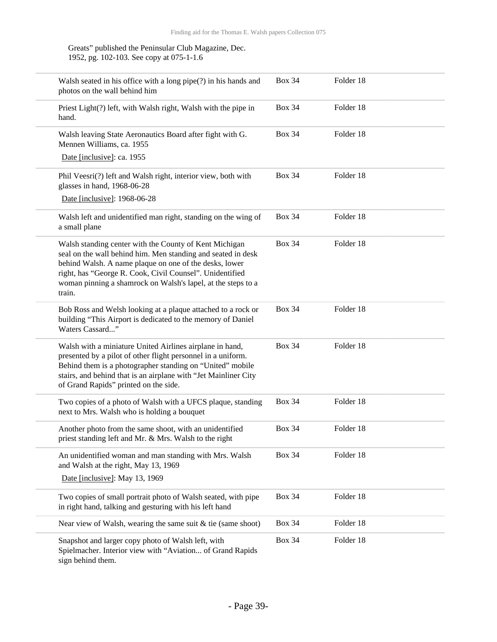Greats" published the Peninsular Club Magazine, Dec. 1952, pg. 102-103. See copy at 075-1-1.6

| Walsh seated in his office with a long $pipe(?)$ in his hands and<br>photos on the wall behind him                                                                                                                                                                                                                     | <b>Box 34</b> | Folder 18 |  |
|------------------------------------------------------------------------------------------------------------------------------------------------------------------------------------------------------------------------------------------------------------------------------------------------------------------------|---------------|-----------|--|
| Priest Light(?) left, with Walsh right, Walsh with the pipe in<br>hand.                                                                                                                                                                                                                                                | <b>Box 34</b> | Folder 18 |  |
| Walsh leaving State Aeronautics Board after fight with G.<br>Mennen Williams, ca. 1955                                                                                                                                                                                                                                 | <b>Box 34</b> | Folder 18 |  |
| Date [inclusive]: ca. 1955                                                                                                                                                                                                                                                                                             |               |           |  |
| Phil Veesri(?) left and Walsh right, interior view, both with<br>glasses in hand, 1968-06-28                                                                                                                                                                                                                           | <b>Box 34</b> | Folder 18 |  |
| Date [inclusive]: 1968-06-28                                                                                                                                                                                                                                                                                           |               |           |  |
| Walsh left and unidentified man right, standing on the wing of<br>a small plane                                                                                                                                                                                                                                        | <b>Box 34</b> | Folder 18 |  |
| Walsh standing center with the County of Kent Michigan<br>seal on the wall behind him. Men standing and seated in desk<br>behind Walsh. A name plaque on one of the desks, lower<br>right, has "George R. Cook, Civil Counsel". Unidentified<br>woman pinning a shamrock on Walsh's lapel, at the steps to a<br>train. | <b>Box 34</b> | Folder 18 |  |
| Bob Ross and Welsh looking at a plaque attached to a rock or<br>building "This Airport is dedicated to the memory of Daniel<br>Waters Cassard"                                                                                                                                                                         | <b>Box 34</b> | Folder 18 |  |
| Walsh with a miniature United Airlines airplane in hand,<br>presented by a pilot of other flight personnel in a uniform.<br>Behind them is a photographer standing on "United" mobile<br>stairs, and behind that is an airplane with "Jet Mainliner City<br>of Grand Rapids" printed on the side.                      | <b>Box 34</b> | Folder 18 |  |
| Two copies of a photo of Walsh with a UFCS plaque, standing<br>next to Mrs. Walsh who is holding a bouquet                                                                                                                                                                                                             | <b>Box 34</b> | Folder 18 |  |
| Another photo from the same shoot, with an unidentified<br>priest standing left and Mr. & Mrs. Walsh to the right                                                                                                                                                                                                      | <b>Box 34</b> | Folder 18 |  |
| An unidentified woman and man standing with Mrs. Walsh<br>and Walsh at the right, May 13, 1969                                                                                                                                                                                                                         | <b>Box 34</b> | Folder 18 |  |
| Date [inclusive]: May 13, 1969                                                                                                                                                                                                                                                                                         |               |           |  |
| Two copies of small portrait photo of Walsh seated, with pipe<br>in right hand, talking and gesturing with his left hand                                                                                                                                                                                               | <b>Box 34</b> | Folder 18 |  |
| Near view of Walsh, wearing the same suit $&$ tie (same shoot)                                                                                                                                                                                                                                                         | <b>Box 34</b> | Folder 18 |  |
| Snapshot and larger copy photo of Walsh left, with<br>Spielmacher. Interior view with "Aviation of Grand Rapids<br>sign behind them.                                                                                                                                                                                   | <b>Box 34</b> | Folder 18 |  |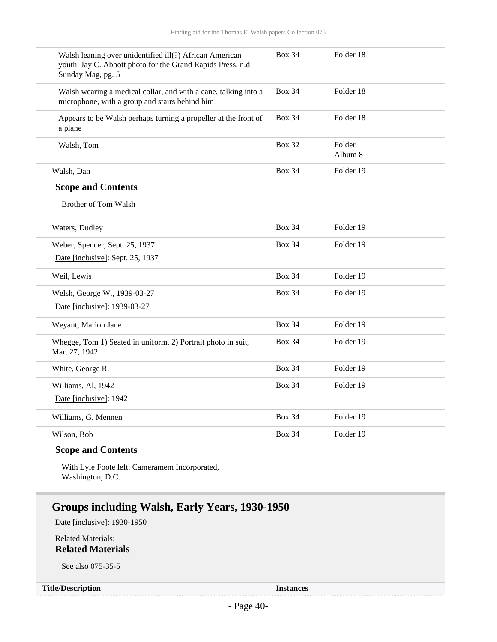| Walsh leaning over unidentified ill(?) African American<br>youth. Jay C. Abbott photo for the Grand Rapids Press, n.d.<br>Sunday Mag, pg. 5 | <b>Box 34</b> | Folder 18         |
|---------------------------------------------------------------------------------------------------------------------------------------------|---------------|-------------------|
| Walsh wearing a medical collar, and with a cane, talking into a<br>microphone, with a group and stairs behind him                           | <b>Box 34</b> | Folder 18         |
| Appears to be Walsh perhaps turning a propeller at the front of<br>a plane                                                                  | <b>Box 34</b> | Folder 18         |
| Walsh, Tom                                                                                                                                  | <b>Box 32</b> | Folder<br>Album 8 |
| Walsh, Dan                                                                                                                                  | <b>Box 34</b> | Folder 19         |
| <b>Scope and Contents</b>                                                                                                                   |               |                   |
| <b>Brother of Tom Walsh</b>                                                                                                                 |               |                   |
| Waters, Dudley                                                                                                                              | <b>Box 34</b> | Folder 19         |
| Weber, Spencer, Sept. 25, 1937                                                                                                              | <b>Box 34</b> | Folder 19         |
| Date [inclusive]: Sept. 25, 1937                                                                                                            |               |                   |
| Weil, Lewis                                                                                                                                 | <b>Box 34</b> | Folder 19         |
| Welsh, George W., 1939-03-27                                                                                                                | <b>Box 34</b> | Folder 19         |
| Date [inclusive]: 1939-03-27                                                                                                                |               |                   |
| Weyant, Marion Jane                                                                                                                         | <b>Box 34</b> | Folder 19         |
| Whegge, Tom 1) Seated in uniform. 2) Portrait photo in suit,<br>Mar. 27, 1942                                                               | <b>Box 34</b> | Folder 19         |
| White, George R.                                                                                                                            | <b>Box 34</b> | Folder 19         |
| Williams, Al, 1942                                                                                                                          | <b>Box 34</b> | Folder 19         |
| Date [inclusive]: 1942                                                                                                                      |               |                   |
| Williams, G. Mennen                                                                                                                         | <b>Box 34</b> | Folder 19         |
| Wilson, Bob                                                                                                                                 | <b>Box 34</b> | Folder 19         |

With Lyle Foote left. Cameramem Incorporated, Washington, D.C.

### **Groups including Walsh, Early Years, 1930-1950**

Date [inclusive]: 1930-1950

Related Materials: **Related Materials**

See also 075-35-5

#### **Title/Description Instances**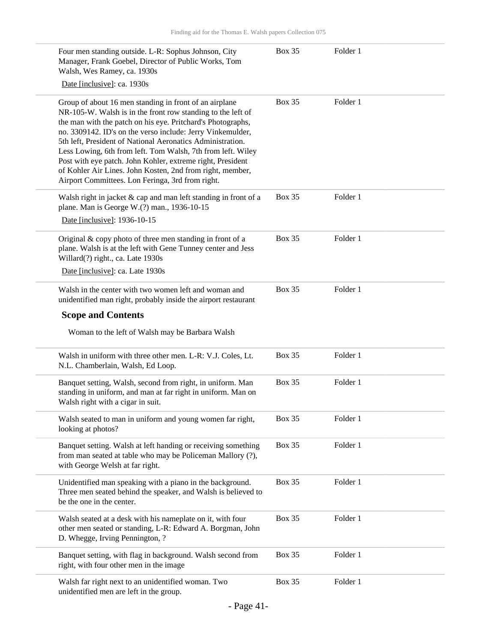| Four men standing outside. L-R: Sophus Johnson, City<br>Manager, Frank Goebel, Director of Public Works, Tom<br>Walsh, Wes Ramey, ca. 1930s                                                                                                                                                                                                                                                                                                                                                                                                                    | <b>Box 35</b> | Folder 1 |  |
|----------------------------------------------------------------------------------------------------------------------------------------------------------------------------------------------------------------------------------------------------------------------------------------------------------------------------------------------------------------------------------------------------------------------------------------------------------------------------------------------------------------------------------------------------------------|---------------|----------|--|
| Date [inclusive]: ca. 1930s                                                                                                                                                                                                                                                                                                                                                                                                                                                                                                                                    |               |          |  |
| Group of about 16 men standing in front of an airplane<br>NR-105-W. Walsh is in the front row standing to the left of<br>the man with the patch on his eye. Pritchard's Photographs,<br>no. 3309142. ID's on the verso include: Jerry Vinkemulder,<br>5th left, President of National Aeronatics Administration.<br>Less Lowing, 6th from left. Tom Walsh, 7th from left. Wiley<br>Post with eye patch. John Kohler, extreme right, President<br>of Kohler Air Lines. John Kosten, 2nd from right, member,<br>Airport Committees. Lon Feringa, 3rd from right. | <b>Box 35</b> | Folder 1 |  |
| Walsh right in jacket & cap and man left standing in front of a<br>plane. Man is George W.(?) man., 1936-10-15                                                                                                                                                                                                                                                                                                                                                                                                                                                 | <b>Box 35</b> | Folder 1 |  |
| Date [inclusive]: 1936-10-15                                                                                                                                                                                                                                                                                                                                                                                                                                                                                                                                   |               |          |  |
| Original & copy photo of three men standing in front of a<br>plane. Walsh is at the left with Gene Tunney center and Jess<br>Willard(?) right., ca. Late 1930s                                                                                                                                                                                                                                                                                                                                                                                                 | <b>Box 35</b> | Folder 1 |  |
| Date [inclusive]: ca. Late 1930s                                                                                                                                                                                                                                                                                                                                                                                                                                                                                                                               |               |          |  |
| Walsh in the center with two women left and woman and<br>unidentified man right, probably inside the airport restaurant                                                                                                                                                                                                                                                                                                                                                                                                                                        | <b>Box 35</b> | Folder 1 |  |
| <b>Scope and Contents</b>                                                                                                                                                                                                                                                                                                                                                                                                                                                                                                                                      |               |          |  |
| Woman to the left of Walsh may be Barbara Walsh                                                                                                                                                                                                                                                                                                                                                                                                                                                                                                                |               |          |  |
| Walsh in uniform with three other men. L-R: V.J. Coles, Lt.<br>N.L. Chamberlain, Walsh, Ed Loop.                                                                                                                                                                                                                                                                                                                                                                                                                                                               | <b>Box 35</b> | Folder 1 |  |
| Banquet setting, Walsh, second from right, in uniform. Man<br>standing in uniform, and man at far right in uniform. Man on<br>Walsh right with a cigar in suit.                                                                                                                                                                                                                                                                                                                                                                                                | <b>Box 35</b> | Folder 1 |  |
| Walsh seated to man in uniform and young women far right,<br>looking at photos?                                                                                                                                                                                                                                                                                                                                                                                                                                                                                | <b>Box 35</b> | Folder 1 |  |
|                                                                                                                                                                                                                                                                                                                                                                                                                                                                                                                                                                | <b>Box 35</b> | Folder 1 |  |
| Banquet setting. Walsh at left handing or receiving something<br>from man seated at table who may be Policeman Mallory (?),<br>with George Welsh at far right.                                                                                                                                                                                                                                                                                                                                                                                                 |               |          |  |
| Unidentified man speaking with a piano in the background.<br>Three men seated behind the speaker, and Walsh is believed to<br>be the one in the center.                                                                                                                                                                                                                                                                                                                                                                                                        | <b>Box 35</b> | Folder 1 |  |
| Walsh seated at a desk with his nameplate on it, with four<br>other men seated or standing, L-R: Edward A. Borgman, John<br>D. Whegge, Irving Pennington, ?                                                                                                                                                                                                                                                                                                                                                                                                    | <b>Box 35</b> | Folder 1 |  |
| Banquet setting, with flag in background. Walsh second from<br>right, with four other men in the image                                                                                                                                                                                                                                                                                                                                                                                                                                                         | <b>Box 35</b> | Folder 1 |  |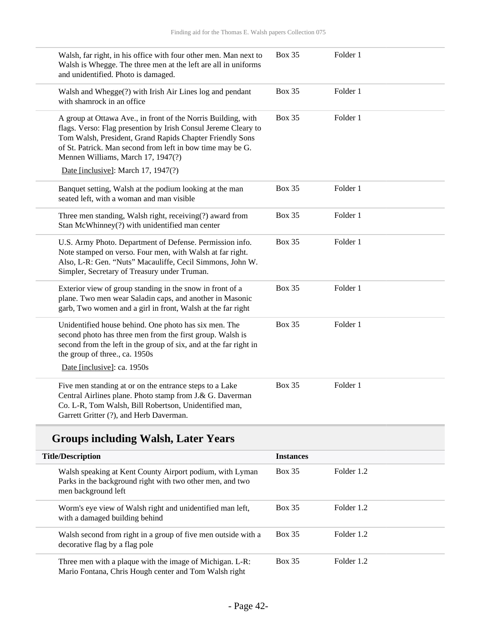| Walsh, far right, in his office with four other men. Man next to<br>Walsh is Whegge. The three men at the left are all in uniforms<br>and unidentified. Photo is damaged.                                                                                                                                                              | <b>Box 35</b> | Folder 1 |  |
|----------------------------------------------------------------------------------------------------------------------------------------------------------------------------------------------------------------------------------------------------------------------------------------------------------------------------------------|---------------|----------|--|
| Walsh and Whegge(?) with Irish Air Lines log and pendant<br>with shamrock in an office                                                                                                                                                                                                                                                 | <b>Box 35</b> | Folder 1 |  |
| A group at Ottawa Ave., in front of the Norris Building, with<br>flags. Verso: Flag presention by Irish Consul Jereme Cleary to<br>Tom Walsh, President, Grand Rapids Chapter Friendly Sons<br>of St. Patrick. Man second from left in bow time may be G.<br>Mennen Williams, March 17, 1947(?)<br>Date [inclusive]: March 17, 1947(?) | <b>Box 35</b> | Folder 1 |  |
| Banquet setting, Walsh at the podium looking at the man<br>seated left, with a woman and man visible                                                                                                                                                                                                                                   | <b>Box 35</b> | Folder 1 |  |
| Three men standing, Walsh right, receiving(?) award from<br>Stan McWhinney(?) with unidentified man center                                                                                                                                                                                                                             | <b>Box 35</b> | Folder 1 |  |
| U.S. Army Photo. Department of Defense. Permission info.<br>Note stamped on verso. Four men, with Walsh at far right.<br>Also, L-R: Gen. "Nuts" Macauliffe, Cecil Simmons, John W.<br>Simpler, Secretary of Treasury under Truman.                                                                                                     | <b>Box 35</b> | Folder 1 |  |
| Exterior view of group standing in the snow in front of a<br>plane. Two men wear Saladin caps, and another in Masonic<br>garb, Two women and a girl in front, Walsh at the far right                                                                                                                                                   | <b>Box 35</b> | Folder 1 |  |
| Unidentified house behind. One photo has six men. The<br>second photo has three men from the first group. Walsh is<br>second from the left in the group of six, and at the far right in<br>the group of three., ca. 1950s<br>Date [inclusive]: ca. 1950s                                                                               | <b>Box 35</b> | Folder 1 |  |
| Five men standing at or on the entrance steps to a Lake<br>Central Airlines plane. Photo stamp from J.& G. Daverman<br>Co. L-R, Tom Walsh, Bill Robertson, Unidentified man,<br>Garrett Gritter (?), and Herb Daverman.                                                                                                                | <b>Box 35</b> | Folder 1 |  |

## **Groups including Walsh, Later Years**

| <b>Title/Description</b>                                                                                                                     | <b>Instances</b> |            |
|----------------------------------------------------------------------------------------------------------------------------------------------|------------------|------------|
| Walsh speaking at Kent County Airport podium, with Lyman<br>Parks in the background right with two other men, and two<br>men background left | <b>Box 35</b>    | Folder 1.2 |
| Worm's eye view of Walsh right and unidentified man left,<br>with a damaged building behind                                                  | Box 35           | Folder 1.2 |
| Walsh second from right in a group of five men outside with a<br>decorative flag by a flag pole                                              | Box 35           | Folder 1.2 |
| Three men with a plaque with the image of Michigan. L-R:<br>Mario Fontana, Chris Hough center and Tom Walsh right                            | <b>Box 35</b>    | Folder 1.2 |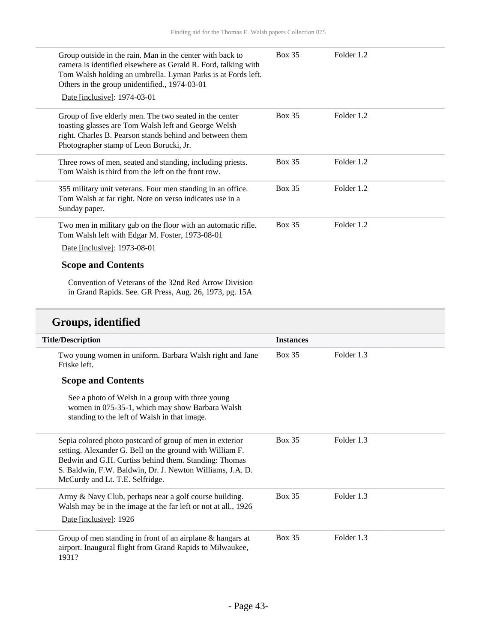| Group outside in the rain. Man in the center with back to<br>camera is identified elsewhere as Gerald R. Ford, talking with<br>Tom Walsh holding an umbrella. Lyman Parks is at Fords left.<br>Others in the group unidentified., 1974-03-01<br>Date [inclusive]: 1974-03-01 | <b>Box 35</b> | Folder 1.2 |
|------------------------------------------------------------------------------------------------------------------------------------------------------------------------------------------------------------------------------------------------------------------------------|---------------|------------|
| Group of five elderly men. The two seated in the center<br>toasting glasses are Tom Walsh left and George Welsh<br>right. Charles B. Pearson stands behind and between them<br>Photographer stamp of Leon Borucki, Jr.                                                       | <b>Box 35</b> | Folder 1.2 |
| Three rows of men, seated and standing, including priests.<br>Tom Walsh is third from the left on the front row.                                                                                                                                                             | <b>Box 35</b> | Folder 1.2 |
| 355 military unit veterans. Four men standing in an office.<br>Tom Walsh at far right. Note on verso indicates use in a<br>Sunday paper.                                                                                                                                     | <b>Box 35</b> | Folder 1.2 |
| Two men in military gab on the floor with an automatic rifle.<br>Tom Walsh left with Edgar M. Foster, 1973-08-01<br>Date [inclusive]: 1973-08-01                                                                                                                             | <b>Box 35</b> | Folder 1.2 |
| <b>Scope and Contents</b>                                                                                                                                                                                                                                                    |               |            |

Convention of Veterans of the 32nd Red Arrow Division in Grand Rapids. See. GR Press, Aug. 26, 1973, pg. 15A

## **Groups, identified**

| <b>Title/Description</b>                                                                                                                                                                                                                                                      | <b>Instances</b> |            |
|-------------------------------------------------------------------------------------------------------------------------------------------------------------------------------------------------------------------------------------------------------------------------------|------------------|------------|
| Two young women in uniform. Barbara Walsh right and Jane<br>Friske left.                                                                                                                                                                                                      | <b>Box 35</b>    | Folder 1.3 |
| <b>Scope and Contents</b>                                                                                                                                                                                                                                                     |                  |            |
| See a photo of Welsh in a group with three young<br>women in 075-35-1, which may show Barbara Walsh<br>standing to the left of Walsh in that image.                                                                                                                           |                  |            |
| Sepia colored photo postcard of group of men in exterior<br>setting. Alexander G. Bell on the ground with William F.<br>Bedwin and G.H. Curtiss behind them. Standing: Thomas<br>S. Baldwin, F.W. Baldwin, Dr. J. Newton Williams, J.A. D.<br>McCurdy and Lt. T.E. Selfridge. | Box 35           | Folder 1.3 |
| Army & Navy Club, perhaps near a golf course building.<br>Walsh may be in the image at the far left or not at all., 1926<br>Date [inclusive]: 1926                                                                                                                            | <b>Box 35</b>    | Folder 1.3 |
| Group of men standing in front of an airplane $\&$ hangars at<br>airport. Inaugural flight from Grand Rapids to Milwaukee,<br>1931?                                                                                                                                           | <b>Box 35</b>    | Folder 1.3 |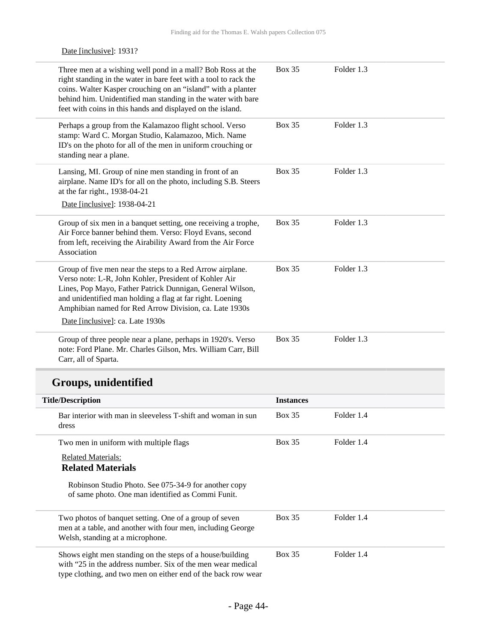| Date [inclusive]: 1931?                                                                                                                                                                                                                                                                                                       |                  |            |
|-------------------------------------------------------------------------------------------------------------------------------------------------------------------------------------------------------------------------------------------------------------------------------------------------------------------------------|------------------|------------|
| Three men at a wishing well pond in a mall? Bob Ross at the<br>right standing in the water in bare feet with a tool to rack the<br>coins. Walter Kasper crouching on an "island" with a planter<br>behind him. Unidentified man standing in the water with bare<br>feet with coins in this hands and displayed on the island. | <b>Box 35</b>    | Folder 1.3 |
| Perhaps a group from the Kalamazoo flight school. Verso<br>stamp: Ward C. Morgan Studio, Kalamazoo, Mich. Name<br>ID's on the photo for all of the men in uniform crouching or<br>standing near a plane.                                                                                                                      | <b>Box 35</b>    | Folder 1.3 |
| Lansing, MI. Group of nine men standing in front of an<br>airplane. Name ID's for all on the photo, including S.B. Steers<br>at the far right., 1938-04-21                                                                                                                                                                    | <b>Box 35</b>    | Folder 1.3 |
| Date [inclusive]: 1938-04-21                                                                                                                                                                                                                                                                                                  |                  |            |
| Group of six men in a banquet setting, one receiving a trophe,<br>Air Force banner behind them. Verso: Floyd Evans, second<br>from left, receiving the Airability Award from the Air Force<br>Association                                                                                                                     | <b>Box 35</b>    | Folder 1.3 |
| Group of five men near the steps to a Red Arrow airplane.<br>Verso note: L-R, John Kohler, President of Kohler Air<br>Lines, Pop Mayo, Father Patrick Dunnigan, General Wilson,<br>and unidentified man holding a flag at far right. Loening<br>Amphibian named for Red Arrow Division, ca. Late 1930s                        | <b>Box 35</b>    | Folder 1.3 |
| Date [inclusive]: ca. Late 1930s                                                                                                                                                                                                                                                                                              |                  |            |
| Group of three people near a plane, perhaps in 1920's. Verso<br>note: Ford Plane. Mr. Charles Gilson, Mrs. William Carr, Bill<br>Carr, all of Sparta.                                                                                                                                                                         | <b>Box 35</b>    | Folder 1.3 |
| Groups, unidentified                                                                                                                                                                                                                                                                                                          |                  |            |
| <b>Title/Description</b>                                                                                                                                                                                                                                                                                                      | <b>Instances</b> |            |
| Bar interior with man in sleeveless T-shift and woman in sun<br>dress                                                                                                                                                                                                                                                         | <b>Box 35</b>    | Folder 1.4 |
| Two men in uniform with multiple flags                                                                                                                                                                                                                                                                                        | <b>Box 35</b>    | Folder 1.4 |
| <b>Related Materials:</b><br><b>Related Materials</b>                                                                                                                                                                                                                                                                         |                  |            |
| Robinson Studio Photo. See 075-34-9 for another copy<br>of same photo. One man identified as Commi Funit.                                                                                                                                                                                                                     |                  |            |
| Two photos of banquet setting. One of a group of seven<br>men at a table, and another with four men, including George<br>Welsh, standing at a microphone.                                                                                                                                                                     | <b>Box 35</b>    | Folder 1.4 |
| Shows eight men standing on the steps of a house/building<br>with "25 in the address number. Six of the men wear medical                                                                                                                                                                                                      | <b>Box 35</b>    | Folder 1.4 |

type clothing, and two men on either end of the back row wear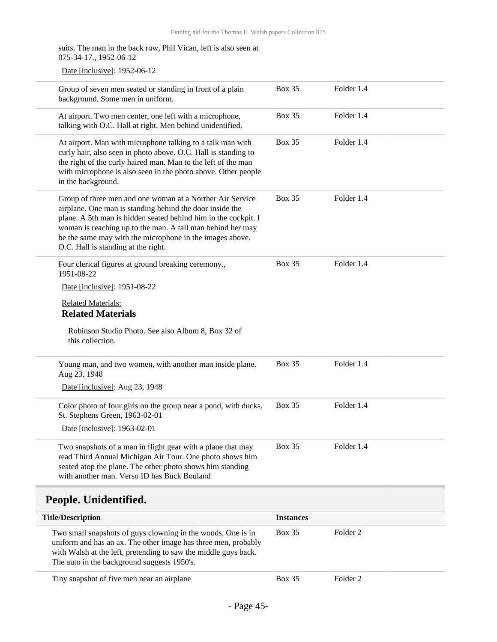| suits. The man in the back row, Phil Vican, left is also seen at<br>075-34-17., 1952-06-12                                                                                                                                                                                                                                                               |               |            |  |
|----------------------------------------------------------------------------------------------------------------------------------------------------------------------------------------------------------------------------------------------------------------------------------------------------------------------------------------------------------|---------------|------------|--|
| Date [inclusive]: 1952-06-12                                                                                                                                                                                                                                                                                                                             |               |            |  |
| Group of seven men seated or standing in front of a plain<br>background. Some men in uniform.                                                                                                                                                                                                                                                            | <b>Box 35</b> | Folder 1.4 |  |
| At airport. Two men center, one left with a microphone,<br>talking with O.C. Hall at right. Men behind unidentified.                                                                                                                                                                                                                                     | <b>Box 35</b> | Folder 1.4 |  |
| At airport. Man with microphone talking to a talk man with<br>curly hair, also seen in photo above. O.C. Hall is standing to<br>the right of the curly haired man. Man to the left of the man<br>with microphone is also seen in the photo above. Other people<br>in the background.                                                                     | <b>Box 35</b> | Folder 1.4 |  |
| Group of three men and one woman at a Norther Air Service<br>airplane. One man is standing behind the door inside the<br>plane. A 5th man is hidden seated behind him in the cockpit. I<br>woman is reaching up to the man. A tall man behind her may<br>be the same may with the microphone in the images above.<br>O.C. Hall is standing at the right. | <b>Box 35</b> | Folder 1.4 |  |
| Four clerical figures at ground breaking ceremony.,<br>1951-08-22                                                                                                                                                                                                                                                                                        | <b>Box 35</b> | Folder 1.4 |  |
| Date [inclusive]: 1951-08-22                                                                                                                                                                                                                                                                                                                             |               |            |  |
| <b>Related Materials:</b><br><b>Related Materials</b>                                                                                                                                                                                                                                                                                                    |               |            |  |
| Robinson Studio Photo. See also Album 8, Box 32 of<br>this collection.                                                                                                                                                                                                                                                                                   |               |            |  |
| Young man, and two women, with another man inside plane,<br>Aug 23, 1948                                                                                                                                                                                                                                                                                 | <b>Box 35</b> | Folder 1.4 |  |
| Date [inclusive]: Aug 23, 1948                                                                                                                                                                                                                                                                                                                           |               |            |  |
| Color photo of four girls on the group near a pond, with ducks.<br>St. Stephens Green, 1963-02-01                                                                                                                                                                                                                                                        | <b>Box 35</b> | Folder 1.4 |  |
| Date [inclusive]: 1963-02-01                                                                                                                                                                                                                                                                                                                             |               |            |  |
| Two snapshots of a man in flight gear with a plane that may<br>read Third Annual Michigan Air Tour. One photo shows him<br>seated atop the plane. The other photo shows him standing<br>with another man. Verso ID has Buck Bouland                                                                                                                      | <b>Box 35</b> | Folder 1.4 |  |
| People. Unidentified.                                                                                                                                                                                                                                                                                                                                    |               |            |  |

<span id="page-44-0"></span>

| <b>Title/Description</b>                                                                                                                                                                                                                         | <b>Instances</b> |          |
|--------------------------------------------------------------------------------------------------------------------------------------------------------------------------------------------------------------------------------------------------|------------------|----------|
| Two small snapshots of guys clowning in the woods. One is in<br>uniform and has an ax. The other image has three men, probably<br>with Walsh at the left, pretending to saw the middle guys back.<br>The auto in the background suggests 1950's. | Box 35           | Folder 2 |
| Tiny snapshot of five men near an airplane                                                                                                                                                                                                       | <b>Box 35</b>    | Folder 2 |

- Page 45-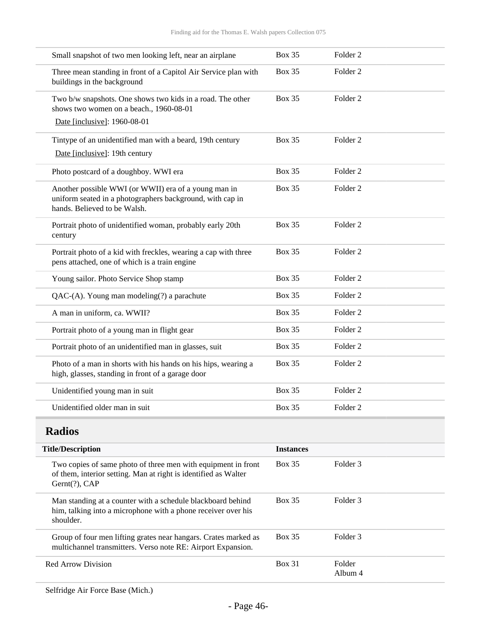| Small snapshot of two men looking left, near an airplane                                                                                          | <b>Box 35</b> | Folder <sub>2</sub> |
|---------------------------------------------------------------------------------------------------------------------------------------------------|---------------|---------------------|
| Three mean standing in front of a Capitol Air Service plan with<br>buildings in the background                                                    | <b>Box 35</b> | Folder <sub>2</sub> |
| Two b/w snapshots. One shows two kids in a road. The other<br>shows two women on a beach., 1960-08-01                                             | Box 35        | Folder <sub>2</sub> |
| Date [inclusive]: 1960-08-01                                                                                                                      |               |                     |
| Tintype of an unidentified man with a beard, 19th century                                                                                         | <b>Box 35</b> | Folder 2            |
| Date [inclusive]: 19th century                                                                                                                    |               |                     |
| Photo postcard of a doughboy. WWI era                                                                                                             | <b>Box 35</b> | Folder <sub>2</sub> |
| Another possible WWI (or WWII) era of a young man in<br>uniform seated in a photographers background, with cap in<br>hands. Believed to be Walsh. | <b>Box 35</b> | Folder <sub>2</sub> |
| Portrait photo of unidentified woman, probably early 20th<br>century                                                                              | <b>Box 35</b> | Folder <sub>2</sub> |
| Portrait photo of a kid with freckles, wearing a cap with three<br>pens attached, one of which is a train engine                                  | <b>Box 35</b> | Folder <sub>2</sub> |
| Young sailor. Photo Service Shop stamp                                                                                                            | <b>Box 35</b> | Folder 2            |
| $QAC-(A)$ . Young man modeling(?) a parachute                                                                                                     | Box 35        | Folder <sub>2</sub> |
| A man in uniform, ca. WWII?                                                                                                                       | <b>Box 35</b> | Folder <sub>2</sub> |
| Portrait photo of a young man in flight gear                                                                                                      | <b>Box 35</b> | Folder <sub>2</sub> |
| Portrait photo of an unidentified man in glasses, suit                                                                                            | <b>Box 35</b> | Folder <sub>2</sub> |
| Photo of a man in shorts with his hands on his hips, wearing a<br>high, glasses, standing in front of a garage door                               | <b>Box 35</b> | Folder <sub>2</sub> |
| Unidentified young man in suit                                                                                                                    | <b>Box 35</b> | Folder <sub>2</sub> |
| Unidentified older man in suit                                                                                                                    | <b>Box 35</b> | Folder <sub>2</sub> |

## <span id="page-45-0"></span>**Radios**

| <b>Instances</b> |                   |
|------------------|-------------------|
| <b>Box 35</b>    | Folder 3          |
| <b>Box 35</b>    | Folder 3          |
| Box 35           | Folder 3          |
| <b>Box 31</b>    | Folder<br>Album 4 |
|                  |                   |

Selfridge Air Force Base (Mich.)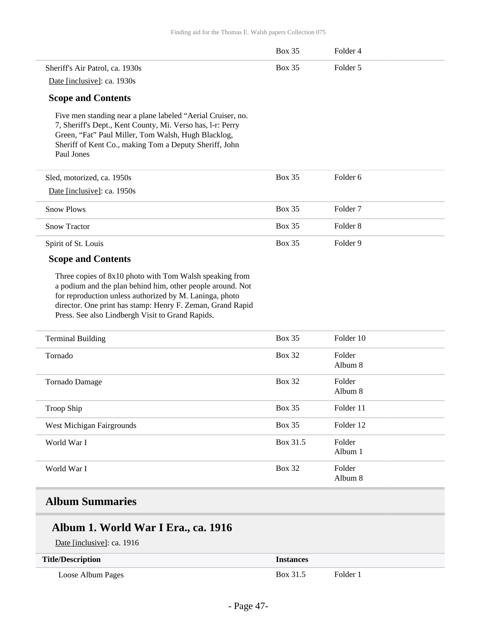|                                                                                                                                                                                                                                                                                                    | <b>Box 35</b> | Folder 4            |
|----------------------------------------------------------------------------------------------------------------------------------------------------------------------------------------------------------------------------------------------------------------------------------------------------|---------------|---------------------|
| Sheriff's Air Patrol, ca. 1930s                                                                                                                                                                                                                                                                    | <b>Box 35</b> | Folder 5            |
| Date [inclusive]: ca. 1930s                                                                                                                                                                                                                                                                        |               |                     |
| <b>Scope and Contents</b>                                                                                                                                                                                                                                                                          |               |                     |
| Five men standing near a plane labeled "Aerial Cruiser, no.<br>7, Sheriff's Dept., Kent County, Mi. Verso has, l-r: Perry<br>Green, "Fat" Paul Miller, Tom Walsh, Hugh Blacklog,<br>Sheriff of Kent Co., making Tom a Deputy Sheriff, John<br>Paul Jones                                           |               |                     |
| Sled, motorized, ca. 1950s                                                                                                                                                                                                                                                                         | <b>Box 35</b> | Folder 6            |
| Date [inclusive]: ca. 1950s                                                                                                                                                                                                                                                                        |               |                     |
| <b>Snow Plows</b>                                                                                                                                                                                                                                                                                  | <b>Box 35</b> | Folder 7            |
| <b>Snow Tractor</b>                                                                                                                                                                                                                                                                                | <b>Box 35</b> | Folder <sub>8</sub> |
| Spirit of St. Louis                                                                                                                                                                                                                                                                                | <b>Box 35</b> | Folder <sub>9</sub> |
| <b>Scope and Contents</b>                                                                                                                                                                                                                                                                          |               |                     |
| Three copies of 8x10 photo with Tom Walsh speaking from<br>a podium and the plan behind him, other people around. Not<br>for reproduction unless authorized by M. Laninga, photo<br>director. One print has stamp: Henry F. Zeman, Grand Rapid<br>Press. See also Lindbergh Visit to Grand Rapids. |               |                     |
| <b>Terminal Building</b>                                                                                                                                                                                                                                                                           | <b>Box 35</b> | Folder 10           |
| Tornado                                                                                                                                                                                                                                                                                            | <b>Box 32</b> | Folder<br>Album 8   |
| Tornado Damage                                                                                                                                                                                                                                                                                     | <b>Box 32</b> | Folder<br>Album 8   |
| <b>Troop Ship</b>                                                                                                                                                                                                                                                                                  | <b>Box 35</b> | Folder 11           |
| West Michigan Fairgrounds                                                                                                                                                                                                                                                                          | <b>Box 35</b> | Folder 12           |
| World War I                                                                                                                                                                                                                                                                                        | Box 31.5      | Folder<br>Album 1   |
| World War I                                                                                                                                                                                                                                                                                        | <b>Box 32</b> | Folder<br>Album 8   |

## <span id="page-46-0"></span>**Album Summaries**

## **Album 1. World War I Era., ca. 1916**

Date [inclusive]: ca. 1916

| <b>Title/Description</b> | <i><u><b>Instances</b></u></i> |          |
|--------------------------|--------------------------------|----------|
| Loose Album Pages        | Box 31.5                       | Folder 1 |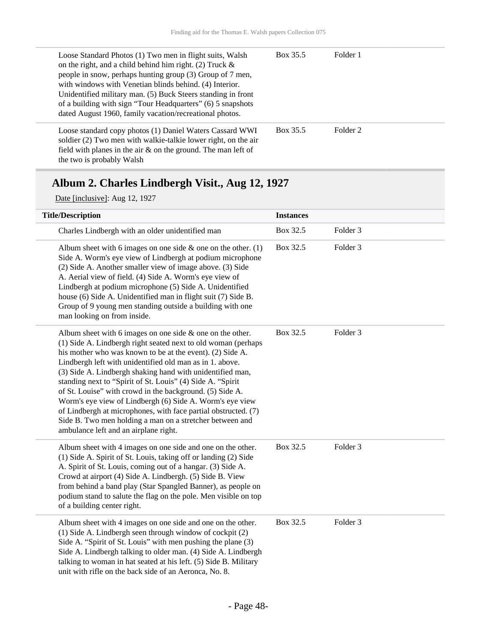| Loose Standard Photos (1) Two men in flight suits, Walsh<br>on the right, and a child behind him right. (2) Truck $\&$<br>people in snow, perhaps hunting group (3) Group of 7 men,<br>with windows with Venetian blinds behind. (4) Interior.<br>Unidentified military man. (5) Buck Steers standing in front<br>of a building with sign "Tour Headquarters" (6) 5 snapshots<br>dated August 1960, family vacation/recreational photos. | Box 35.5 | Folder 1 |
|------------------------------------------------------------------------------------------------------------------------------------------------------------------------------------------------------------------------------------------------------------------------------------------------------------------------------------------------------------------------------------------------------------------------------------------|----------|----------|
| Loose standard copy photos (1) Daniel Waters Cassard WWI<br>soldier (2) Two men with walkie-talkie lower right, on the air<br>field with planes in the air $\&$ on the ground. The man left of<br>the two is probably Walsh                                                                                                                                                                                                              | Box 35.5 | Folder 2 |

## **Album 2. Charles Lindbergh Visit., Aug 12, 1927**

Date [inclusive]: Aug 12, 1927

| <b>Title/Description</b>                                                                                                                                                                                                                                                                                                                                                                                                                                                                                                                                                                                                                                                         | <b>Instances</b> |                     |
|----------------------------------------------------------------------------------------------------------------------------------------------------------------------------------------------------------------------------------------------------------------------------------------------------------------------------------------------------------------------------------------------------------------------------------------------------------------------------------------------------------------------------------------------------------------------------------------------------------------------------------------------------------------------------------|------------------|---------------------|
| Charles Lindbergh with an older unidentified man                                                                                                                                                                                                                                                                                                                                                                                                                                                                                                                                                                                                                                 | Box 32.5         | Folder <sub>3</sub> |
| Album sheet with 6 images on one side $\&$ one on the other. (1)<br>Side A. Worm's eye view of Lindbergh at podium microphone<br>(2) Side A. Another smaller view of image above. (3) Side<br>A. Aerial view of field. (4) Side A. Worm's eye view of<br>Lindbergh at podium microphone (5) Side A. Unidentified<br>house (6) Side A. Unidentified man in flight suit (7) Side B.<br>Group of 9 young men standing outside a building with one<br>man looking on from inside.                                                                                                                                                                                                    | Box 32.5         | Folder 3            |
| Album sheet with 6 images on one side $\&$ one on the other.<br>(1) Side A. Lindbergh right seated next to old woman (perhaps<br>his mother who was known to be at the event). (2) Side A.<br>Lindbergh left with unidentified old man as in 1. above.<br>(3) Side A. Lindbergh shaking hand with unidentified man,<br>standing next to "Spirit of St. Louis" (4) Side A. "Spirit<br>of St. Louise" with crowd in the background. (5) Side A.<br>Worm's eye view of Lindbergh (6) Side A. Worm's eye view<br>of Lindbergh at microphones, with face partial obstructed. (7)<br>Side B. Two men holding a man on a stretcher between and<br>ambulance left and an airplane right. | Box 32.5         | Folder <sub>3</sub> |
| Album sheet with 4 images on one side and one on the other.<br>(1) Side A. Spirit of St. Louis, taking off or landing (2) Side<br>A. Spirit of St. Louis, coming out of a hangar. (3) Side A.<br>Crowd at airport (4) Side A. Lindbergh. (5) Side B. View<br>from behind a band play (Star Spangled Banner), as people on<br>podium stand to salute the flag on the pole. Men visible on top<br>of a building center right.                                                                                                                                                                                                                                                      | Box 32.5         | Folder <sub>3</sub> |
| Album sheet with 4 images on one side and one on the other.<br>(1) Side A. Lindbergh seen through window of cockpit (2)<br>Side A. "Spirit of St. Louis" with men pushing the plane (3)<br>Side A. Lindbergh talking to older man. (4) Side A. Lindbergh<br>talking to woman in hat seated at his left. (5) Side B. Military<br>unit with rifle on the back side of an Aeronca, No. 8.                                                                                                                                                                                                                                                                                           | Box 32.5         | Folder <sub>3</sub> |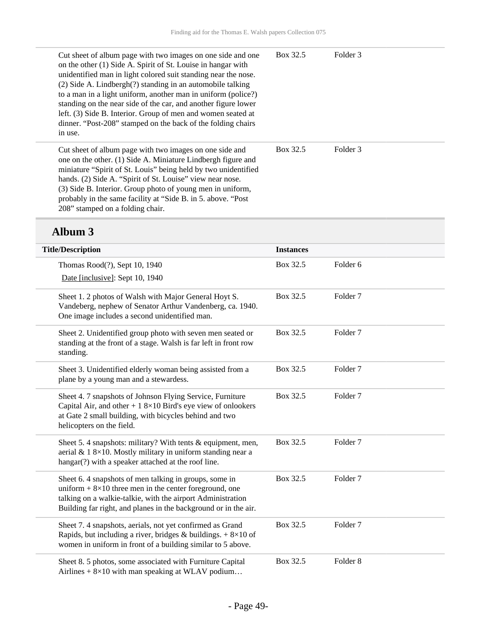| Cut sheet of album page with two images on one side and one<br>on the other (1) Side A. Spirit of St. Louise in hangar with<br>unidentified man in light colored suit standing near the nose.<br>(2) Side A. Lindbergh(?) standing in an automobile talking<br>to a man in a light uniform, another man in uniform (police?)<br>standing on the near side of the car, and another figure lower<br>left. (3) Side B. Interior. Group of men and women seated at<br>dinner. "Post-208" stamped on the back of the folding chairs<br>in use. | Box 32.5 | Folder 3 |  |
|-------------------------------------------------------------------------------------------------------------------------------------------------------------------------------------------------------------------------------------------------------------------------------------------------------------------------------------------------------------------------------------------------------------------------------------------------------------------------------------------------------------------------------------------|----------|----------|--|
| Cut sheet of album page with two images on one side and<br>one on the other. (1) Side A. Miniature Lindbergh figure and<br>miniature "Spirit of St. Louis" being held by two unidentified<br>hands. (2) Side A. "Spirit of St. Louise" view near nose.<br>(3) Side B. Interior. Group photo of young men in uniform,<br>probably in the same facility at "Side B. in 5. above. "Post<br>208" stamped on a folding chair.                                                                                                                  | Box 32.5 | Folder 3 |  |

## **Album 3**

| <b>Title/Description</b>                                                                                                                                                                                                                                | <b>Instances</b> |                     |
|---------------------------------------------------------------------------------------------------------------------------------------------------------------------------------------------------------------------------------------------------------|------------------|---------------------|
| Thomas Rood(?), Sept 10, 1940<br>Date [inclusive]: Sept 10, 1940                                                                                                                                                                                        | Box 32.5         | Folder <sub>6</sub> |
| Sheet 1. 2 photos of Walsh with Major General Hoyt S.<br>Vandeberg, nephew of Senator Arthur Vandenberg, ca. 1940.<br>One image includes a second unidentified man.                                                                                     | Box 32.5         | Folder <sub>7</sub> |
| Sheet 2. Unidentified group photo with seven men seated or<br>standing at the front of a stage. Walsh is far left in front row<br>standing.                                                                                                             | Box 32.5         | Folder <sub>7</sub> |
| Sheet 3. Unidentified elderly woman being assisted from a<br>plane by a young man and a stewardess.                                                                                                                                                     | Box 32.5         | Folder <sub>7</sub> |
| Sheet 4. 7 snapshots of Johnson Flying Service, Furniture<br>Capital Air, and other + $18\times10$ Bird's eye view of onlookers<br>at Gate 2 small building, with bicycles behind and two<br>helicopters on the field.                                  | Box 32.5         | Folder <sub>7</sub> |
| Sheet 5.4 snapshots: military? With tents & equipment, men,<br>aerial & 1 8×10. Mostly military in uniform standing near a<br>hangar(?) with a speaker attached at the roof line.                                                                       | Box 32.5         | Folder <sub>7</sub> |
| Sheet 6.4 snapshots of men talking in groups, some in<br>uniform $+8\times10$ three men in the center foreground, one<br>talking on a walkie-talkie, with the airport Administration<br>Building far right, and planes in the background or in the air. | Box 32.5         | Folder <sub>7</sub> |
| Sheet 7.4 snapshots, aerials, not yet confirmed as Grand<br>Rapids, but including a river, bridges & buildings. $+8\times10$ of<br>women in uniform in front of a building similar to 5 above.                                                          | Box 32.5         | Folder <sub>7</sub> |
| Sheet 8. 5 photos, some associated with Furniture Capital<br>Airlines $+ 8 \times 10$ with man speaking at WLAV podium                                                                                                                                  | Box 32.5         | Folder <sub>8</sub> |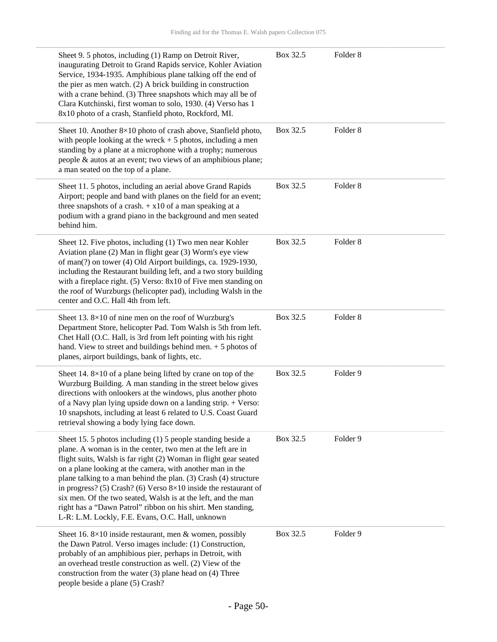|             | Sheet 9. 5 photos, including (1) Ramp on Detroit River,<br>inaugurating Detroit to Grand Rapids service, Kohler Aviation<br>Service, 1934-1935. Amphibious plane talking off the end of<br>the pier as men watch. (2) A brick building in construction<br>with a crane behind. (3) Three snapshots which may all be of<br>Clara Kutchinski, first woman to solo, 1930. (4) Verso has 1<br>8x10 photo of a crash, Stanfield photo, Rockford, MI.                                                                                                                                                  | Box 32.5 | Folder <sub>8</sub> |
|-------------|--------------------------------------------------------------------------------------------------------------------------------------------------------------------------------------------------------------------------------------------------------------------------------------------------------------------------------------------------------------------------------------------------------------------------------------------------------------------------------------------------------------------------------------------------------------------------------------------------|----------|---------------------|
|             | Sheet 10. Another 8×10 photo of crash above, Stanfield photo,<br>with people looking at the wreck $+5$ photos, including a men<br>standing by a plane at a microphone with a trophy; numerous<br>people & autos at an event; two views of an amphibious plane;<br>a man seated on the top of a plane.                                                                                                                                                                                                                                                                                            | Box 32.5 | Folder <sub>8</sub> |
| behind him. | Sheet 11.5 photos, including an aerial above Grand Rapids<br>Airport; people and band with planes on the field for an event;<br>three snapshots of a crash. $+ x 10$ of a man speaking at a<br>podium with a grand piano in the background and men seated                                                                                                                                                                                                                                                                                                                                        | Box 32.5 | Folder <sub>8</sub> |
|             | Sheet 12. Five photos, including (1) Two men near Kohler<br>Aviation plane (2) Man in flight gear (3) Worm's eye view<br>of man(?) on tower (4) Old Airport buildings, ca. 1929-1930,<br>including the Restaurant building left, and a two story building<br>with a fireplace right. (5) Verso: 8x10 of Five men standing on<br>the roof of Wurzburgs (helicopter pad), including Walsh in the<br>center and O.C. Hall 4th from left.                                                                                                                                                            | Box 32.5 | Folder <sub>8</sub> |
|             | Sheet 13.8×10 of nine men on the roof of Wurzburg's<br>Department Store, helicopter Pad. Tom Walsh is 5th from left.<br>Chet Hall (O.C. Hall, is 3rd from left pointing with his right<br>hand. View to street and buildings behind men. $+5$ photos of<br>planes, airport buildings, bank of lights, etc.                                                                                                                                                                                                                                                                                       | Box 32.5 | Folder <sub>8</sub> |
|             | Sheet 14. $8 \times 10$ of a plane being lifted by crane on top of the<br>Wurzburg Building. A man standing in the street below gives<br>directions with onlookers at the windows, plus another photo<br>of a Navy plan lying upside down on a landing strip. + Verso:<br>10 snapshots, including at least 6 related to U.S. Coast Guard<br>retrieval showing a body lying face down.                                                                                                                                                                                                            | Box 32.5 | Folder 9            |
|             | Sheet 15.5 photos including $(1)$ 5 people standing beside a<br>plane. A woman is in the center, two men at the left are in<br>flight suits, Walsh is far right (2) Woman in flight gear seated<br>on a plane looking at the camera, with another man in the<br>plane talking to a man behind the plan. (3) Crash (4) structure<br>in progress? (5) Crash? (6) Verso $8 \times 10$ inside the restaurant of<br>six men. Of the two seated, Walsh is at the left, and the man<br>right has a "Dawn Patrol" ribbon on his shirt. Men standing,<br>L-R: L.M. Lockly, F.E. Evans, O.C. Hall, unknown | Box 32.5 | Folder 9            |
|             | Sheet 16. $8 \times 10$ inside restaurant, men & women, possibly<br>the Dawn Patrol. Verso images include: (1) Construction,<br>probably of an amphibious pier, perhaps in Detroit, with<br>an overhead trestle construction as well. (2) View of the<br>construction from the water $(3)$ plane head on $(4)$ Three<br>people beside a plane (5) Crash?                                                                                                                                                                                                                                         | Box 32.5 | Folder 9            |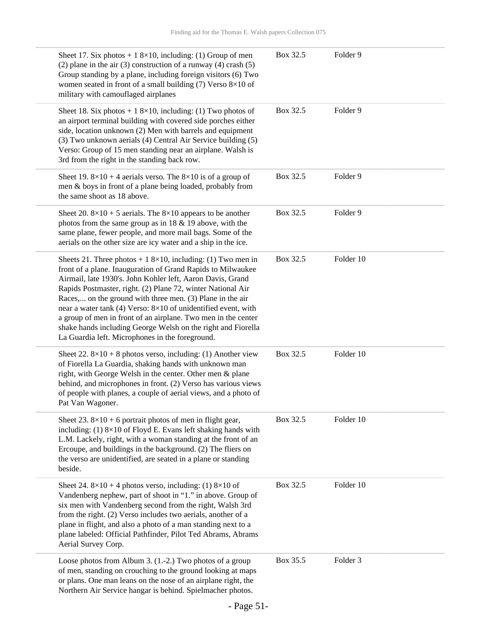| Sheet 17. Six photos + 1 8×10, including: (1) Group of men<br>(2) plane in the air (3) construction of a runway (4) crash $(5)$<br>Group standing by a plane, including foreign visitors (6) Two<br>women seated in front of a small building $(7)$ Verso 8×10 of<br>military with camouflaged airplanes                                                                                                                                                                                                                                                                           | Box 32.5 | Folder 9  |
|------------------------------------------------------------------------------------------------------------------------------------------------------------------------------------------------------------------------------------------------------------------------------------------------------------------------------------------------------------------------------------------------------------------------------------------------------------------------------------------------------------------------------------------------------------------------------------|----------|-----------|
| Sheet 18. Six photos + 1 8×10, including: (1) Two photos of<br>an airport terminal building with covered side porches either<br>side, location unknown (2) Men with barrels and equipment<br>(3) Two unknown aerials (4) Central Air Service building (5)<br>Verso: Group of 15 men standing near an airplane. Walsh is<br>3rd from the right in the standing back row.                                                                                                                                                                                                            | Box 32.5 | Folder 9  |
| Sheet 19. $8 \times 10 + 4$ aerials verso. The $8 \times 10$ is of a group of<br>men & boys in front of a plane being loaded, probably from<br>the same shoot as 18 above.                                                                                                                                                                                                                                                                                                                                                                                                         | Box 32.5 | Folder 9  |
| Sheet 20. $8 \times 10 + 5$ aerials. The $8 \times 10$ appears to be another<br>photos from the same group as in $18 \& 19$ above, with the<br>same plane, fewer people, and more mail bags. Some of the<br>aerials on the other size are icy water and a ship in the ice.                                                                                                                                                                                                                                                                                                         | Box 32.5 | Folder 9  |
| Sheets 21. Three photos + 1 8×10, including: (1) Two men in<br>front of a plane. Inauguration of Grand Rapids to Milwaukee<br>Airmail, late 1930's. John Kohler left, Aaron Davis, Grand<br>Rapids Postmaster, right. (2) Plane 72, winter National Air<br>Races, on the ground with three men. (3) Plane in the air<br>near a water tank (4) Verso: $8 \times 10$ of unidentified event, with<br>a group of men in front of an airplane. Two men in the center<br>shake hands including George Welsh on the right and Fiorella<br>La Guardia left. Microphones in the foreground. | Box 32.5 | Folder 10 |
| Sheet 22. $8 \times 10 + 8$ photos verso, including: (1) Another view<br>of Fiorella La Guardia, shaking hands with unknown man<br>right, with George Welsh in the center. Other men & plane<br>behind, and microphones in front. (2) Verso has various views<br>of people with planes, a couple of aerial views, and a photo of<br>Pat Van Wagoner.                                                                                                                                                                                                                               | Box 32.5 | Folder 10 |
| Sheet 23. $8 \times 10 + 6$ portrait photos of men in flight gear,<br>including: $(1)$ 8×10 of Floyd E. Evans left shaking hands with<br>L.M. Lackely, right, with a woman standing at the front of an<br>Ercoupe, and buildings in the background. (2) The fliers on<br>the verso are unidentified, are seated in a plane or standing<br>beside.                                                                                                                                                                                                                                  | Box 32.5 | Folder 10 |
| Sheet 24. $8 \times 10 + 4$ photos verso, including: (1) $8 \times 10$ of<br>Vandenberg nephew, part of shoot in "1." in above. Group of<br>six men with Vandenberg second from the right, Walsh 3rd<br>from the right. (2) Verso includes two aerials, another of a<br>plane in flight, and also a photo of a man standing next to a<br>plane labeled: Official Pathfinder, Pilot Ted Abrams, Abrams<br>Aerial Survey Corp.                                                                                                                                                       | Box 32.5 | Folder 10 |
| Loose photos from Album 3. (1.-2.) Two photos of a group<br>of men, standing on crouching to the ground looking at maps<br>or plans. One man leans on the nose of an airplane right, the<br>Northern Air Service hangar is behind. Spielmacher photos.                                                                                                                                                                                                                                                                                                                             | Box 35.5 | Folder 3  |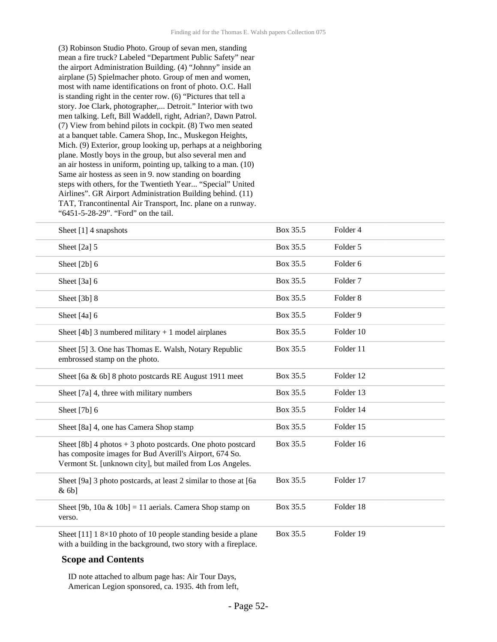(3) Robinson Studio Photo. Group of sevan men, standing mean a fire truck? Labeled "Department Public Safety" near the airport Administration Building. (4) "Johnny" inside an airplane (5) Spielmacher photo. Group of men and women, most with name identifications on front of photo. O.C. Hall is standing right in the center row. (6) "Pictures that tell a story. Joe Clark, photographer,... Detroit." Interior with two men talking. Left, Bill Waddell, right, Adrian?, Dawn Patrol. (7) View from behind pilots in cockpit. (8) Two men seated at a banquet table. Camera Shop, Inc., Muskegon Heights, Mich. (9) Exterior, group looking up, perhaps at a neighboring plane. Mostly boys in the group, but also several men and an air hostess in uniform, pointing up, talking to a man. (10) Same air hostess as seen in 9. now standing on boarding steps with others, for the Twentieth Year... "Special" United Airlines". GR Airport Administration Building behind. (11) TAT, Trancontinental Air Transport, Inc. plane on a runway. "6451-5-28-29". "Ford" on the tail.

| Sheet $[1]$ 4 snapshots                                                                                                                                                              | Box 35.5 | Folder 4            |
|--------------------------------------------------------------------------------------------------------------------------------------------------------------------------------------|----------|---------------------|
| Sheet $[2a]$ 5                                                                                                                                                                       | Box 35.5 | Folder 5            |
| Sheet $[2b]$ 6                                                                                                                                                                       | Box 35.5 | Folder <sub>6</sub> |
| Sheet [3a] 6                                                                                                                                                                         | Box 35.5 | Folder <sub>7</sub> |
| Sheet [3b] 8                                                                                                                                                                         | Box 35.5 | Folder <sub>8</sub> |
| Sheet $[4a]$ 6                                                                                                                                                                       | Box 35.5 | Folder 9            |
| Sheet [4b] 3 numbered military $+1$ model airplanes                                                                                                                                  | Box 35.5 | Folder 10           |
| Sheet [5] 3. One has Thomas E. Walsh, Notary Republic<br>embrossed stamp on the photo.                                                                                               | Box 35.5 | Folder 11           |
| Sheet [6a & 6b] 8 photo postcards RE August 1911 meet                                                                                                                                | Box 35.5 | Folder 12           |
| Sheet [7a] 4, three with military numbers                                                                                                                                            | Box 35.5 | Folder 13           |
| Sheet [7b] 6                                                                                                                                                                         | Box 35.5 | Folder 14           |
| Sheet [8a] 4, one has Camera Shop stamp                                                                                                                                              | Box 35.5 | Folder 15           |
| Sheet $[8b]$ 4 photos + 3 photo postcards. One photo postcard<br>has composite images for Bud Averill's Airport, 674 So.<br>Vermont St. [unknown city], but mailed from Los Angeles. | Box 35.5 | Folder 16           |
| Sheet [9a] 3 photo postcards, at least 2 similar to those at [6a<br>$& 6b$ ]                                                                                                         | Box 35.5 | Folder 17           |
| Sheet [9b, 10a & 10b] = 11 aerials. Camera Shop stamp on<br>verso.                                                                                                                   | Box 35.5 | Folder 18           |
| Sheet [11] $18\times10$ photo of 10 people standing beside a plane<br>with a building in the background, two story with a fireplace.                                                 | Box 35.5 | Folder 19           |

#### **Scope and Contents**

ID note attached to album page has: Air Tour Days, American Legion sponsored, ca. 1935. 4th from left,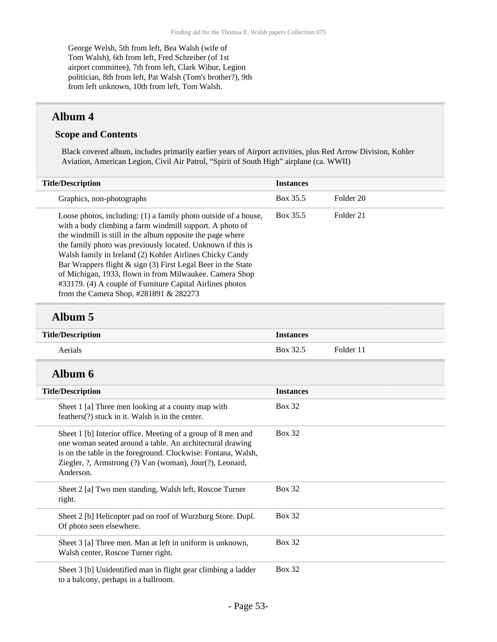George Welsh, 5th from left, Bea Walsh (wife of Tom Walsh), 6th from left, Fred Schreiber (of 1st airport committee), 7th from left, Clark Wibur, Legion politician, 8th from left, Pat Walsh (Tom's brother?), 9th from left unknown, 10th from left, Tom Walsh.

### **Album 4**

#### **Scope and Contents**

Black covered album, includes primarily earlier years of Airport activities, plus Red Arrow Division, Kohler Aviation, American Legion, Civil Air Patrol, "Spirit of South High" airplane (ca. WWII)

| <b>Title/Description</b>                                                                                                                                                                                                                                                                                                                                                                                                                                                                                                                               | <b>Instances</b> |           |
|--------------------------------------------------------------------------------------------------------------------------------------------------------------------------------------------------------------------------------------------------------------------------------------------------------------------------------------------------------------------------------------------------------------------------------------------------------------------------------------------------------------------------------------------------------|------------------|-----------|
| Graphics, non-photographs                                                                                                                                                                                                                                                                                                                                                                                                                                                                                                                              | Box 35.5         | Folder 20 |
| Loose photos, including: (1) a family photo outside of a house,<br>with a body climbing a farm windmill support. A photo of<br>the windmill is still in the album opposite the page where<br>the family photo was previously located. Unknown if this is<br>Walsh family in Ireland (2) Kohler Airlines Chicky Candy<br>Bar Wrappers flight & sign (3) First Legal Beer in the State<br>of Michigan, 1933, flown in from Milwaukee. Camera Shop<br>#33179. (4) A couple of Furniture Capital Airlines photos<br>from the Camera Shop, #281891 & 282273 | Box 35.5         | Folder 21 |

### **Album 5**

| <b>Title/Description</b>                                                                                                                                                                                                                                            | <b>Instances</b> |           |
|---------------------------------------------------------------------------------------------------------------------------------------------------------------------------------------------------------------------------------------------------------------------|------------------|-----------|
| Aerials                                                                                                                                                                                                                                                             | Box 32.5         | Folder 11 |
| Album 6                                                                                                                                                                                                                                                             |                  |           |
| <b>Title/Description</b>                                                                                                                                                                                                                                            | <b>Instances</b> |           |
| Sheet 1 [a] Three men looking at a county map with<br>feathers(?) stuck in it. Walsh is in the center.                                                                                                                                                              | <b>Box 32</b>    |           |
| Sheet 1 [b] Interior office. Meeting of a group of 8 men and<br>one woman seated around a table. An architectural drawing<br>is on the table in the foreground. Clockwise: Fontana, Walsh,<br>Ziegler, ?, Armstrong (?) Van (woman), Jour(?), Leonard,<br>Anderson. | <b>Box 32</b>    |           |
| Sheet 2 [a] Two men standing, Walsh left, Roscoe Turner<br>right.                                                                                                                                                                                                   | <b>Box 32</b>    |           |
| Sheet 2 [b] Helicopter pad on roof of Wurzburg Store. Dupl.<br>Of photo seen elsewhere.                                                                                                                                                                             | <b>Box 32</b>    |           |
| Sheet 3 [a] Three men. Man at left in uniform is unknown,<br>Walsh center, Roscoe Turner right.                                                                                                                                                                     | <b>Box 32</b>    |           |
| Sheet 3 [b] Unidentified man in flight gear climbing a ladder<br>to a balcony, perhaps in a ballroom.                                                                                                                                                               | <b>Box 32</b>    |           |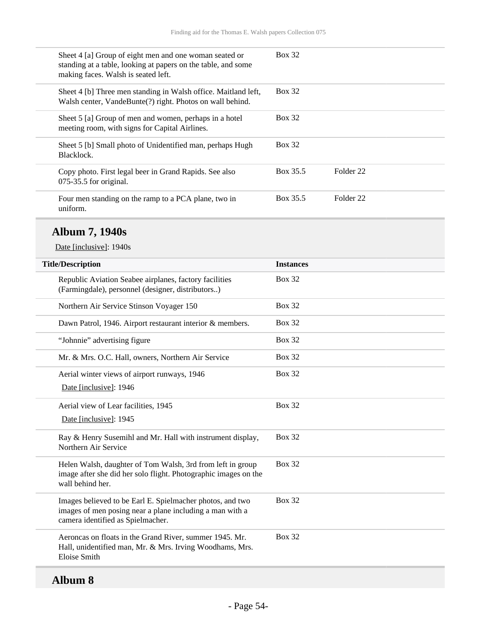| Sheet 4 [a] Group of eight men and one woman seated or<br>standing at a table, looking at papers on the table, and some<br>making faces. Walsh is seated left. | <b>Box 32</b> |           |
|----------------------------------------------------------------------------------------------------------------------------------------------------------------|---------------|-----------|
| Sheet 4 [b] Three men standing in Walsh office. Maitland left,<br>Walsh center, VandeBunte(?) right. Photos on wall behind.                                    | <b>Box 32</b> |           |
| Sheet 5 [a] Group of men and women, perhaps in a hotel<br>meeting room, with signs for Capital Airlines.                                                       | <b>Box 32</b> |           |
| Sheet 5 [b] Small photo of Unidentified man, perhaps Hugh<br>Blacklock.                                                                                        | <b>Box 32</b> |           |
| Copy photo. First legal beer in Grand Rapids. See also<br>$075-35.5$ for original.                                                                             | Box 35.5      | Folder 22 |
| Four men standing on the ramp to a PCA plane, two in<br>uniform.                                                                                               | Box 35.5      | Folder 22 |

## **Album 7, 1940s**

Date [inclusive]: 1940s

| <b>Title/Description</b>                                                                                                                                   | <b>Instances</b> |
|------------------------------------------------------------------------------------------------------------------------------------------------------------|------------------|
| Republic Aviation Seabee airplanes, factory facilities<br>(Farmingdale), personnel (designer, distributors)                                                | <b>Box 32</b>    |
| Northern Air Service Stinson Voyager 150                                                                                                                   | <b>Box 32</b>    |
| Dawn Patrol, 1946. Airport restaurant interior & members.                                                                                                  | <b>Box 32</b>    |
| "Johnnie" advertising figure                                                                                                                               | <b>Box 32</b>    |
| Mr. & Mrs. O.C. Hall, owners, Northern Air Service                                                                                                         | <b>Box 32</b>    |
| Aerial winter views of airport runways, 1946<br>Date [inclusive]: 1946                                                                                     | <b>Box 32</b>    |
| Aerial view of Lear facilities, 1945<br>Date [inclusive]: 1945                                                                                             | <b>Box 32</b>    |
| Ray & Henry Susemihl and Mr. Hall with instrument display,<br>Northern Air Service                                                                         | <b>Box 32</b>    |
| Helen Walsh, daughter of Tom Walsh, 3rd from left in group<br>image after she did her solo flight. Photographic images on the<br>wall behind her.          | <b>Box 32</b>    |
| Images believed to be Earl E. Spielmacher photos, and two<br>images of men posing near a plane including a man with a<br>camera identified as Spielmacher. | <b>Box 32</b>    |
| Aeroncas on floats in the Grand River, summer 1945. Mr.<br>Hall, unidentified man, Mr. & Mrs. Irving Woodhams, Mrs.<br>Eloise Smith                        | <b>Box 32</b>    |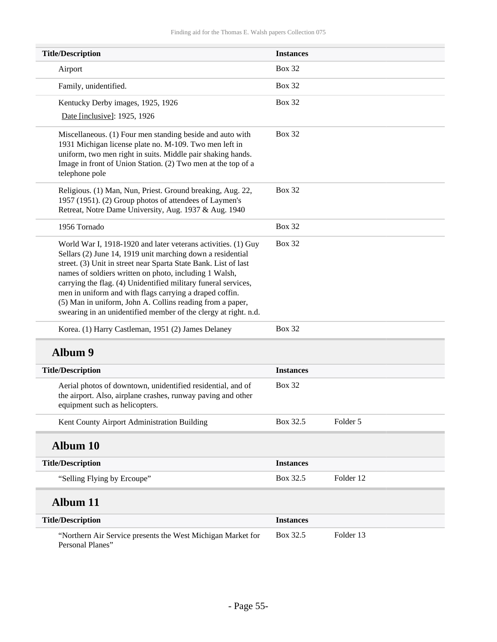| <b>Title/Description</b>                                                                                                                                                                                                                                                                                                                                                                                                                                                                                              | <b>Instances</b> |           |
|-----------------------------------------------------------------------------------------------------------------------------------------------------------------------------------------------------------------------------------------------------------------------------------------------------------------------------------------------------------------------------------------------------------------------------------------------------------------------------------------------------------------------|------------------|-----------|
| Airport                                                                                                                                                                                                                                                                                                                                                                                                                                                                                                               | <b>Box 32</b>    |           |
| Family, unidentified.                                                                                                                                                                                                                                                                                                                                                                                                                                                                                                 | <b>Box 32</b>    |           |
| Kentucky Derby images, 1925, 1926                                                                                                                                                                                                                                                                                                                                                                                                                                                                                     | <b>Box 32</b>    |           |
| Date [inclusive]: 1925, 1926                                                                                                                                                                                                                                                                                                                                                                                                                                                                                          |                  |           |
| Miscellaneous. (1) Four men standing beside and auto with<br>1931 Michigan license plate no. M-109. Two men left in<br>uniform, two men right in suits. Middle pair shaking hands.<br>Image in front of Union Station. (2) Two men at the top of a<br>telephone pole                                                                                                                                                                                                                                                  | <b>Box 32</b>    |           |
| Religious. (1) Man, Nun, Priest. Ground breaking, Aug. 22,<br>1957 (1951). (2) Group photos of attendees of Laymen's<br>Retreat, Notre Dame University, Aug. 1937 & Aug. 1940                                                                                                                                                                                                                                                                                                                                         | <b>Box 32</b>    |           |
| 1956 Tornado                                                                                                                                                                                                                                                                                                                                                                                                                                                                                                          | <b>Box 32</b>    |           |
| World War I, 1918-1920 and later veterans activities. (1) Guy<br>Sellars (2) June 14, 1919 unit marching down a residential<br>street. (3) Unit in street near Sparta State Bank. List of last<br>names of soldiers written on photo, including 1 Walsh,<br>carrying the flag. (4) Unidentified military funeral services,<br>men in uniform and with flags carrying a draped coffin.<br>(5) Man in uniform, John A. Collins reading from a paper,<br>swearing in an unidentified member of the clergy at right. n.d. | <b>Box 32</b>    |           |
| Korea. (1) Harry Castleman, 1951 (2) James Delaney                                                                                                                                                                                                                                                                                                                                                                                                                                                                    | <b>Box 32</b>    |           |
| <b>Album 9</b>                                                                                                                                                                                                                                                                                                                                                                                                                                                                                                        |                  |           |
| <b>Title/Description</b>                                                                                                                                                                                                                                                                                                                                                                                                                                                                                              | <b>Instances</b> |           |
| Aerial photos of downtown, unidentified residential, and of<br>the airport. Also, airplane crashes, runway paving and other<br>equipment such as helicopters.                                                                                                                                                                                                                                                                                                                                                         | <b>Box 32</b>    |           |
| Kent County Airport Administration Building                                                                                                                                                                                                                                                                                                                                                                                                                                                                           | Box 32.5         | Folder 5  |
| <b>Album 10</b>                                                                                                                                                                                                                                                                                                                                                                                                                                                                                                       |                  |           |
| <b>Title/Description</b>                                                                                                                                                                                                                                                                                                                                                                                                                                                                                              | <b>Instances</b> |           |
| "Selling Flying by Ercoupe"                                                                                                                                                                                                                                                                                                                                                                                                                                                                                           | Box 32.5         | Folder 12 |
| <b>Album 11</b>                                                                                                                                                                                                                                                                                                                                                                                                                                                                                                       |                  |           |
| <b>Title/Description</b>                                                                                                                                                                                                                                                                                                                                                                                                                                                                                              | <b>Instances</b> |           |
| "Northern Air Service presents the West Michigan Market for<br>Personal Planes"                                                                                                                                                                                                                                                                                                                                                                                                                                       | Box 32.5         | Folder 13 |